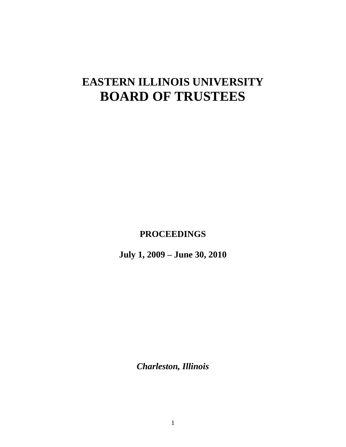# **EASTERN ILLINOIS UNIVERSITY BOARD OF TRUSTEES**

**PROCEEDINGS**

**July 1, 2009 – June 30, 2010**

*Charleston, Illinois*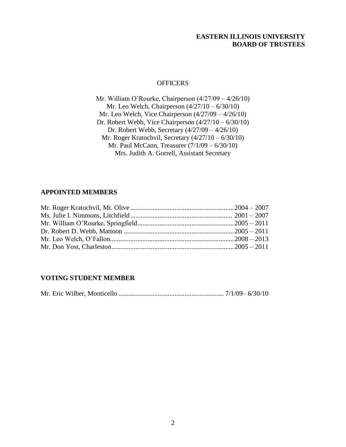#### **EASTERN ILLINOIS UNIVERSITY BOARD OF TRUSTEES**

#### **OFFICERS**

Mr. William O'Rourke, Chairperson (4/27/09 – 4/26/10) Mr. Leo Welch, Chairperson  $\left(\frac{4}{27}\right)/10 - \frac{6}{30}/10$ ) Mr. Leo Welch, Vice Chairperson (4/27/09 – 4/26/10) Dr. Robert Webb, Vice Chairperson (4/27/10 – 6/30/10) Dr. Robert Webb, Secretary (4/27/09 – 4/26/10) Mr. Roger Kratochvil, Secretary (4/27/10 – 6/30/10) Mr. Paul McCann, Treasurer (7/1/09 – 6/30/10) Mrs. Judith A. Gorrell, Assistant Secretary

# **APPOINTED MEMBERS**

# **VOTING STUDENT MEMBER**

|--|--|--|--|--|--|--|--|--|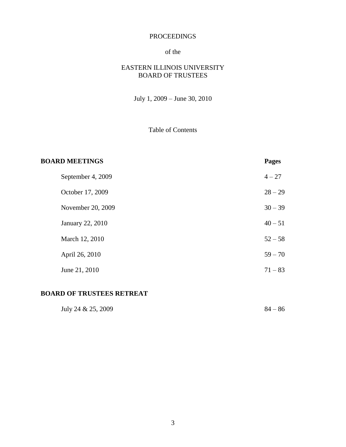## PROCEEDINGS

# of the

# EASTERN ILLINOIS UNIVERSITY BOARD OF TRUSTEES

July 1, 2009 – June 30, 2010

# Table of Contents

| <b>BOARD MEETINGS</b> |                         | <b>Pages</b> |
|-----------------------|-------------------------|--------------|
|                       | September 4, 2009       | $4 - 27$     |
|                       | October 17, 2009        | $28 - 29$    |
|                       | November 20, 2009       | $30 - 39$    |
|                       | <b>January 22, 2010</b> | $40 - 51$    |
|                       | March 12, 2010          | $52 - 58$    |
|                       | April 26, 2010          | $59 - 70$    |
|                       | June 21, 2010           | $71 - 83$    |

# **BOARD OF TRUSTEES RETREAT**

| July 24 & 25, 2009 | $84 - 86$ |
|--------------------|-----------|
|                    |           |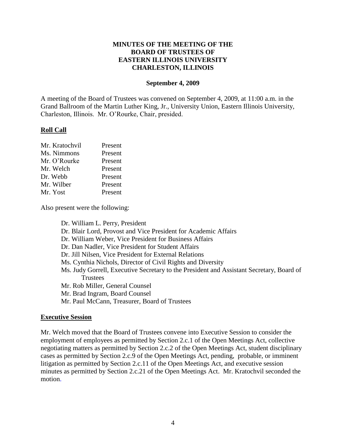#### **MINUTES OF THE MEETING OF THE BOARD OF TRUSTEES OF EASTERN ILLINOIS UNIVERSITY CHARLESTON, ILLINOIS**

#### **September 4, 2009**

A meeting of the Board of Trustees was convened on September 4, 2009, at 11:00 a.m. in the Grand Ballroom of the Martin Luther King, Jr., University Union, Eastern Illinois University, Charleston, Illinois. Mr. O'Rourke, Chair, presided.

#### **Roll Call**

| Mr. Kratochvil | Present |
|----------------|---------|
| Ms. Nimmons    | Present |
| Mr. O'Rourke   | Present |
| Mr. Welch      | Present |
| Dr. Webb       | Present |
| Mr. Wilber     | Present |
| Mr. Yost       | Present |

Also present were the following:

Dr. William L. Perry, President Dr. Blair Lord, Provost and Vice President for Academic Affairs Dr. William Weber, Vice President for Business Affairs Dr. Dan Nadler, Vice President for Student Affairs Dr. Jill Nilsen, Vice President for External Relations Ms. Cynthia Nichols, Director of Civil Rights and Diversity Ms. Judy Gorrell, Executive Secretary to the President and Assistant Secretary, Board of **Trustees** Mr. Rob Miller, General Counsel Mr. Brad Ingram, Board Counsel Mr. Paul McCann, Treasurer, Board of Trustees

#### **Executive Session**

Mr. Welch moved that the Board of Trustees convene into Executive Session to consider the employment of employees as permitted by Section 2.c.1 of the Open Meetings Act, collective negotiating matters as permitted by Section 2.c.2 of the Open Meetings Act, student disciplinary cases as permitted by Section 2.c.9 of the Open Meetings Act, pending, probable, or imminent litigation as permitted by Section 2.c.11 of the Open Meetings Act, and executive session minutes as permitted by Section 2.c.21 of the Open Meetings Act. Mr. Kratochvil seconded the motion.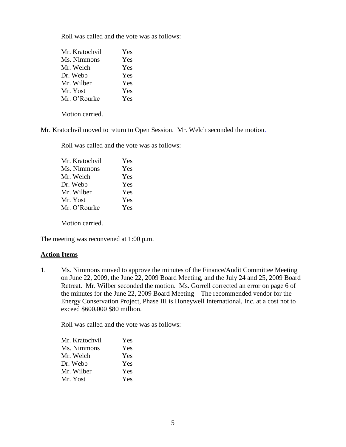Roll was called and the vote was as follows:

| Mr. Kratochvil | Yes |
|----------------|-----|
| Ms. Nimmons    | Yes |
| Mr. Welch      | Yes |
| Dr. Webb       | Yes |
| Mr. Wilber     | Yes |
| Mr. Yost       | Yes |
| Mr. O'Rourke   | Yes |

Motion carried.

Mr. Kratochvil moved to return to Open Session. Mr. Welch seconded the motion.

Roll was called and the vote was as follows:

| Mr. Kratochvil | Yes |
|----------------|-----|
| Ms. Nimmons    | Yes |
| Mr. Welch      | Yes |
| Dr. Webb       | Yes |
| Mr. Wilber     | Yes |
| Mr. Yost       | Yes |
| Mr. O'Rourke   | Yes |
|                |     |

Motion carried.

The meeting was reconvened at 1:00 p.m.

#### **Action Items**

1. Ms. Nimmons moved to approve the minutes of the Finance/Audit Committee Meeting on June 22, 2009, the June 22, 2009 Board Meeting, and the July 24 and 25, 2009 Board Retreat. Mr. Wilber seconded the motion. Ms. Gorrell corrected an error on page 6 of the minutes for the June 22, 2009 Board Meeting – The recommended vendor for the Energy Conservation Project, Phase III is Honeywell International, Inc. at a cost not to exceed \$600,000 \$80 million.

Roll was called and the vote was as follows:

| Mr. Kratochvil | Yes        |
|----------------|------------|
| Ms. Nimmons    | <b>Yes</b> |
| Mr. Welch      | Yes        |
| Dr. Webb       | <b>Yes</b> |
| Mr. Wilber     | <b>Yes</b> |
| Mr. Yost       | Yes        |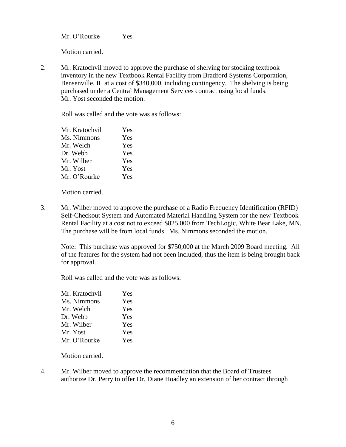Mr. O'Rourke Yes

Motion carried.

2. Mr. Kratochvil moved to approve the purchase of shelving for stocking textbook inventory in the new Textbook Rental Facility from Bradford Systems Corporation, Bensenville, IL at a cost of \$340,000, including contingency. The shelving is being purchased under a Central Management Services contract using local funds. Mr. Yost seconded the motion.

Roll was called and the vote was as follows:

| Mr. Kratochvil | Yes |
|----------------|-----|
| Ms. Nimmons    | Yes |
| Mr. Welch      | Yes |
| Dr. Webb       | Yes |
| Mr. Wilber     | Yes |
| Mr. Yost       | Yes |
| Mr. O'Rourke   | Yes |
|                |     |

Motion carried.

3. Mr. Wilber moved to approve the purchase of a Radio Frequency Identification (RFID) Self-Checkout System and Automated Material Handling System for the new Textbook Rental Facility at a cost not to exceed \$825,000 from TechLogic, White Bear Lake, MN. The purchase will be from local funds. Ms. Nimmons seconded the motion.

Note: This purchase was approved for \$750,000 at the March 2009 Board meeting. All of the features for the system had not been included, thus the item is being brought back for approval.

Roll was called and the vote was as follows:

| Mr. Kratochvil | Yes |
|----------------|-----|
| Ms. Nimmons    | Yes |
| Mr. Welch      | Yes |
| Dr. Webb       | Yes |
| Mr. Wilber     | Yes |
| Mr. Yost       | Yes |
| Mr. O'Rourke   | Yes |

Motion carried.

4. Mr. Wilber moved to approve the recommendation that the Board of Trustees authorize Dr. Perry to offer Dr. Diane Hoadley an extension of her contract through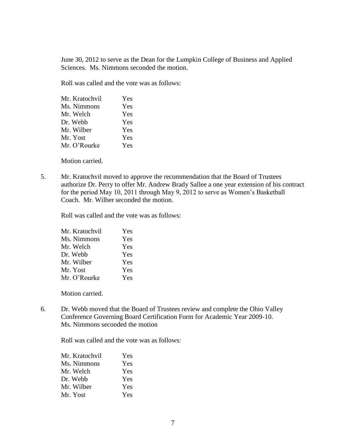June 30, 2012 to serve as the Dean for the Lumpkin College of Business and Applied Sciences. Ms. Nimmons seconded the motion.

Roll was called and the vote was as follows:

| Mr. Kratochvil | Yes |
|----------------|-----|
| Ms. Nimmons    | Yes |
| Mr. Welch      | Yes |
| Dr. Webb       | Yes |
| Mr. Wilber     | Yes |
| Mr. Yost       | Yes |
| Mr. O'Rourke   | Yes |
|                |     |

Motion carried.

5. Mr. Kratochvil moved to approve the recommendation that the Board of Trustees authorize Dr. Perry to offer Mr. Andrew Brady Sallee a one year extension of his contract for the period May 10, 2011 through May 9, 2012 to serve as Women's Basketball Coach. Mr. Wilber seconded the motion.

Roll was called and the vote was as follows:

| Mr. Kratochvil | Yes |
|----------------|-----|
| Ms. Nimmons    | Yes |
| Mr. Welch      | Yes |
| Dr. Webb       | Yes |
| Mr. Wilber     | Yes |
| Mr. Yost       | Yes |
| Mr. O'Rourke   | Yes |

Motion carried.

6. Dr. Webb moved that the Board of Trustees review and complete the Ohio Valley Conference Governing Board Certification Form for Academic Year 2009-10. Ms. Nimmons seconded the motion

Roll was called and the vote was as follows:

| Mr. Kratochvil | <b>Yes</b> |
|----------------|------------|
| Ms. Nimmons    | Yes        |
| Mr. Welch      | Yes        |
| Dr. Webb       | <b>Yes</b> |
| Mr. Wilber     | <b>Yes</b> |
| Mr. Yost       | <b>Yes</b> |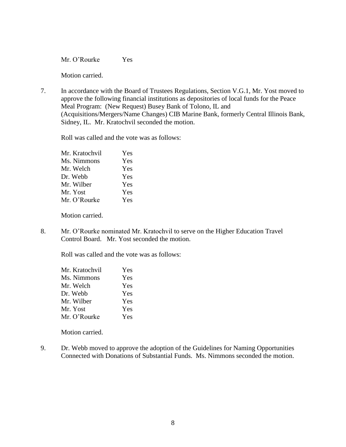Mr. O'Rourke Yes

Motion carried.

7. In accordance with the Board of Trustees Regulations, Section V.G.1, Mr. Yost moved to approve the following financial institutions as depositories of local funds for the Peace Meal Program: (New Request) Busey Bank of Tolono, IL and (Acquisitions/Mergers/Name Changes) CIB Marine Bank, formerly Central Illinois Bank, Sidney, IL. Mr. Kratochvil seconded the motion.

Roll was called and the vote was as follows:

| Mr. Kratochvil | Yes |
|----------------|-----|
| Ms. Nimmons    | Yes |
| Mr. Welch      | Yes |
| Dr. Webb       | Yes |
| Mr. Wilber     | Yes |
| Mr. Yost       | Yes |
| Mr. O'Rourke   | Yes |
|                |     |

Motion carried.

8. Mr. O'Rourke nominated Mr. Kratochvil to serve on the Higher Education Travel Control Board. Mr. Yost seconded the motion.

Roll was called and the vote was as follows:

| Mr. Kratochvil | Yes |
|----------------|-----|
| Ms. Nimmons    | Yes |
| Mr. Welch      | Yes |
| Dr. Webb       | Yes |
| Mr. Wilber     | Yes |
| Mr. Yost       | Yes |
| Mr. O'Rourke   | Yes |

Motion carried.

9. Dr. Webb moved to approve the adoption of the Guidelines for Naming Opportunities Connected with Donations of Substantial Funds. Ms. Nimmons seconded the motion.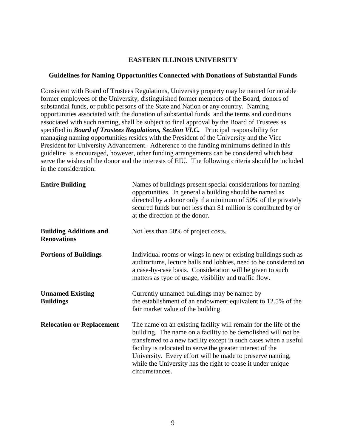#### **EASTERN ILLINOIS UNIVERSITY**

#### **Guidelines for Naming Opportunities Connected with Donations of Substantial Funds**

Consistent with Board of Trustees Regulations, University property may be named for notable former employees of the University, distinguished former members of the Board, donors of substantial funds, or public persons of the State and Nation or any country. Naming opportunities associated with the donation of substantial funds and the terms and conditions associated with such naming, shall be subject to final approval by the Board of Trustees as specified in *Board of Trustees Regulations, Section VI.C.* Principal responsibility for managing naming opportunities resides with the President of the University and the Vice President for University Advancement. Adherence to the funding minimums defined in this guideline is encouraged, however, other funding arrangements can be considered which best serve the wishes of the donor and the interests of EIU. The following criteria should be included in the consideration:

| <b>Entire Building</b>                              | Names of buildings present special considerations for naming<br>opportunities. In general a building should be named as<br>directed by a donor only if a minimum of 50% of the privately<br>secured funds but not less than \$1 million is contributed by or<br>at the direction of the donor.                                                                                                                    |
|-----------------------------------------------------|-------------------------------------------------------------------------------------------------------------------------------------------------------------------------------------------------------------------------------------------------------------------------------------------------------------------------------------------------------------------------------------------------------------------|
| <b>Building Additions and</b><br><b>Renovations</b> | Not less than 50% of project costs.                                                                                                                                                                                                                                                                                                                                                                               |
| <b>Portions of Buildings</b>                        | Individual rooms or wings in new or existing buildings such as<br>auditoriums, lecture halls and lobbies, need to be considered on<br>a case-by-case basis. Consideration will be given to such<br>matters as type of usage, visibility and traffic flow.                                                                                                                                                         |
| <b>Unnamed Existing</b><br><b>Buildings</b>         | Currently unnamed buildings may be named by<br>the establishment of an endowment equivalent to 12.5% of the<br>fair market value of the building                                                                                                                                                                                                                                                                  |
| <b>Relocation or Replacement</b>                    | The name on an existing facility will remain for the life of the<br>building. The name on a facility to be demolished will not be<br>transferred to a new facility except in such cases when a useful<br>facility is relocated to serve the greater interest of the<br>University. Every effort will be made to preserve naming,<br>while the University has the right to cease it under unique<br>circumstances. |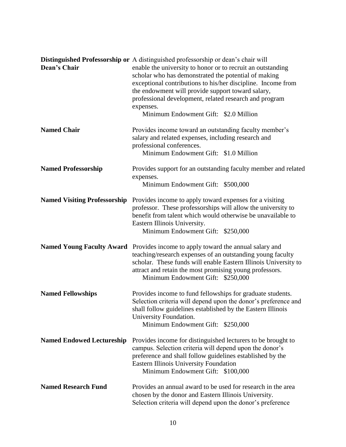| <b>Dean's Chair</b>              | Distinguished Professorship or A distinguished professorship or dean's chair will<br>enable the university to honor or to recruit an outstanding<br>scholar who has demonstrated the potential of making<br>exceptional contributions to his/her discipline. Income from<br>the endowment will provide support toward salary,<br>professional development, related research and program<br>expenses.<br>Minimum Endowment Gift: \$2.0 Million |
|----------------------------------|-----------------------------------------------------------------------------------------------------------------------------------------------------------------------------------------------------------------------------------------------------------------------------------------------------------------------------------------------------------------------------------------------------------------------------------------------|
| <b>Named Chair</b>               | Provides income toward an outstanding faculty member's<br>salary and related expenses, including research and<br>professional conferences.<br>Minimum Endowment Gift: \$1.0 Million                                                                                                                                                                                                                                                           |
| <b>Named Professorship</b>       | Provides support for an outstanding faculty member and related<br>expenses.<br>Minimum Endowment Gift: \$500,000                                                                                                                                                                                                                                                                                                                              |
|                                  | <b>Named Visiting Professorship</b> Provides income to apply toward expenses for a visiting<br>professor. These professorships will allow the university to<br>benefit from talent which would otherwise be unavailable to<br>Eastern Illinois University.<br>Minimum Endowment Gift: \$250,000                                                                                                                                               |
|                                  | Named Young Faculty Award Provides income to apply toward the annual salary and<br>teaching/research expenses of an outstanding young faculty<br>scholar. These funds will enable Eastern Illinois University to<br>attract and retain the most promising young professors.<br>Minimum Endowment Gift: \$250,000                                                                                                                              |
| <b>Named Fellowships</b>         | Provides income to fund fellowships for graduate students.<br>Selection criteria will depend upon the donor's preference and<br>shall follow guidelines established by the Eastern Illinois<br>University Foundation.<br>Minimum Endowment Gift: \$250,000                                                                                                                                                                                    |
| <b>Named Endowed Lectureship</b> | Provides income for distinguished lecturers to be brought to<br>campus. Selection criteria will depend upon the donor's<br>preference and shall follow guidelines established by the<br><b>Eastern Illinois University Foundation</b><br>Minimum Endowment Gift: \$100,000                                                                                                                                                                    |
| <b>Named Research Fund</b>       | Provides an annual award to be used for research in the area<br>chosen by the donor and Eastern Illinois University.<br>Selection criteria will depend upon the donor's preference                                                                                                                                                                                                                                                            |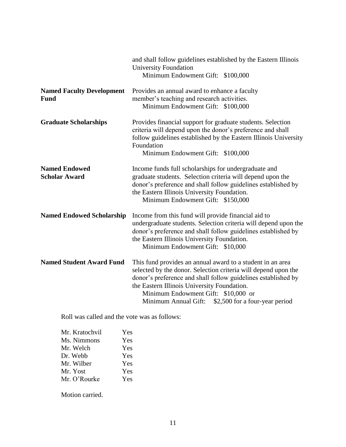|                                              | and shall follow guidelines established by the Eastern Illinois<br><b>University Foundation</b><br>Minimum Endowment Gift: \$100,000                                                                                                                                                                                                          |
|----------------------------------------------|-----------------------------------------------------------------------------------------------------------------------------------------------------------------------------------------------------------------------------------------------------------------------------------------------------------------------------------------------|
| <b>Named Faculty Development</b><br>Fund     | Provides an annual award to enhance a faculty<br>member's teaching and research activities.<br>Minimum Endowment Gift: \$100,000                                                                                                                                                                                                              |
| <b>Graduate Scholarships</b>                 | Provides financial support for graduate students. Selection<br>criteria will depend upon the donor's preference and shall<br>follow guidelines established by the Eastern Illinois University<br>Foundation<br>Minimum Endowment Gift: \$100,000                                                                                              |
| <b>Named Endowed</b><br><b>Scholar Award</b> | Income funds full scholarships for undergraduate and<br>graduate students. Selection criteria will depend upon the<br>donor's preference and shall follow guidelines established by<br>the Eastern Illinois University Foundation.<br>Minimum Endowment Gift: \$150,000                                                                       |
| <b>Named Endowed Scholarship</b>             | Income from this fund will provide financial aid to<br>undergraduate students. Selection criteria will depend upon the<br>donor's preference and shall follow guidelines established by<br>the Eastern Illinois University Foundation.<br>Minimum Endowment Gift: \$10,000                                                                    |
| <b>Named Student Award Fund</b>              | This fund provides an annual award to a student in an area<br>selected by the donor. Selection criteria will depend upon the<br>donor's preference and shall follow guidelines established by<br>the Eastern Illinois University Foundation.<br>Minimum Endowment Gift: \$10,000 or<br>Minimum Annual Gift:<br>\$2,500 for a four-year period |

Roll was called and the vote was as follows:

| Mr. Kratochvil | Yes        |
|----------------|------------|
| Ms. Nimmons    | <b>Yes</b> |
| Mr. Welch      | Yes        |
| Dr. Webb       | Yes        |
| Mr. Wilber     | <b>Yes</b> |
| Mr. Yost       | <b>Yes</b> |
| Mr. O'Rourke   | Yes        |

Motion carried.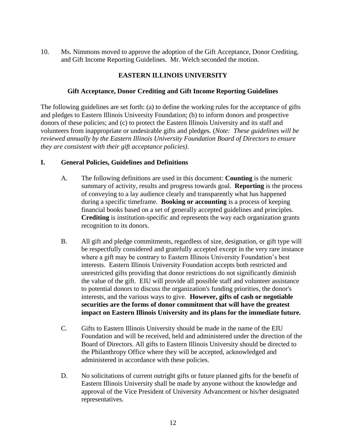10. Ms. Nimmons moved to approve the adoption of the Gift Acceptance, Donor Crediting, and Gift Income Reporting Guidelines. Mr. Welch seconded the motion.

# **EASTERN ILLINOIS UNIVERSITY**

## **Gift Acceptance, Donor Crediting and Gift Income Reporting Guidelines**

The following guidelines are set forth: (a) to define the working rules for the acceptance of gifts and pledges to Eastern Illinois University Foundation; (b) to inform donors and prospective donors of these policies; and (c) to protect the Eastern Illinois University and its staff and volunteers from inappropriate or undesirable gifts and pledges. (*Note: These guidelines will be reviewed annually by the Eastern Illinois University Foundation Board of Directors to ensure they are consistent with their gift acceptance policies)*.

#### **I. General Policies, Guidelines and Definitions**

- A. The following definitions are used in this document: **Counting** is the numeric summary of activity, results and progress towards goal. **Reporting** is the process of conveying to a lay audience clearly and transparently what has happened during a specific timeframe. **Booking or accounting** is a process of keeping financial books based on a set of generally accepted guidelines and principles. **Crediting** is institution-specific and represents the way each organization grants recognition to its donors.
- B. All gift and pledge commitments, regardless of size, designation, or gift type will be respectfully considered and gratefully accepted except in the very rare instance where a gift may be contrary to Eastern Illinois University Foundation's best interests. Eastern Illinois University Foundation accepts both restricted and unrestricted gifts providing that donor restrictions do not significantly diminish the value of the gift. EIU will provide all possible staff and volunteer assistance to potential donors to discuss the organization's funding priorities, the donor's interests, and the various ways to give. **However, gifts of cash or negotiable securities are the forms of donor commitment that will have the greatest impact on Eastern Illinois University and its plans for the immediate future.**
- C. Gifts to Eastern Illinois University should be made in the name of the EIU Foundation and will be received, held and administered under the direction of the Board of Directors. All gifts to Eastern Illinois University should be directed to the Philanthropy Office where they will be accepted, acknowledged and administered in accordance with these policies.
- D. No solicitations of current outright gifts or future planned gifts for the benefit of Eastern Illinois University shall be made by anyone without the knowledge and approval of the Vice President of University Advancement or his/her designated representatives.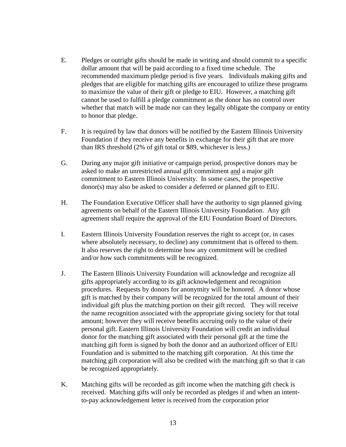- E. Pledges or outright gifts should be made in writing and should commit to a specific dollar amount that will be paid according to a fixed time schedule. The recommended maximum pledge period is five years. Individuals making gifts and pledges that are eligible for matching gifts are encouraged to utilize these programs to maximize the value of their gift or pledge to EIU. However, a matching gift cannot be used to fulfill a pledge commitment as the donor has no control over whether that match will be made nor can they legally obligate the company or entity to honor that pledge.
- F. It is required by law that donors will be notified by the Eastern Illinois University Foundation if they receive any benefits in exchange for their gift that are more than IRS threshold (2% of gift total or \$89, whichever is less.)
- G. During any major gift initiative or campaign period, prospective donors may be asked to make an unrestricted annual gift commitment and a major gift commitment to Eastern Illinois University. In some cases, the prospective donor(s) may also be asked to consider a deferred or planned gift to EIU.
- H. The Foundation Executive Officer shall have the authority to sign planned giving agreements on behalf of the Eastern Illinois University Foundation. Any gift agreement shall require the approval of the EIU Foundation Board of Directors.
- I. Eastern Illinois University Foundation reserves the right to accept (or, in cases where absolutely necessary, to decline) any commitment that is offered to them. It also reserves the right to determine how any commitment will be credited and/or how such commitments will be recognized.
- J. The Eastern Illinois University Foundation will acknowledge and recognize all gifts appropriately according to its gift acknowledgement and recognition procedures. Requests by donors for anonymity will be honored. A donor whose gift is matched by their company will be recognized for the total amount of their individual gift plus the matching portion on their gift record. They will receive the name recognition associated with the appropriate giving society for that total amount; however they will receive benefits accruing only to the value of their personal gift. Eastern Illinois University Foundation will credit an individual donor for the matching gift associated with their personal gift at the time the matching gift form is signed by both the donor and an authorized officer of EIU Foundation and is submitted to the matching gift corporation. At this time the matching gift corporation will also be credited with the matching gift so that it can be recognized appropriately.
- K. Matching gifts will be recorded as gift income when the matching gift check is received. Matching gifts will only be recorded as pledges if and when an intentto-pay acknowledgement letter is received from the corporation prior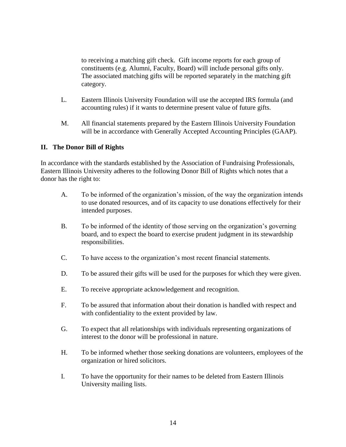to receiving a matching gift check. Gift income reports for each group of constituents (e.g. Alumni, Faculty, Board) will include personal gifts only. The associated matching gifts will be reported separately in the matching gift category.

- L. Eastern Illinois University Foundation will use the accepted IRS formula (and accounting rules) if it wants to determine present value of future gifts.
- M. All financial statements prepared by the Eastern Illinois University Foundation will be in accordance with Generally Accepted Accounting Principles (GAAP).

# **II. The Donor Bill of Rights**

In accordance with the standards established by the Association of Fundraising Professionals, Eastern Illinois University adheres to the following Donor Bill of Rights which notes that a donor has the right to:

- A. To be informed of the organization's mission, of the way the organization intends to use donated resources, and of its capacity to use donations effectively for their intended purposes.
- B. To be informed of the identity of those serving on the organization's governing board, and to expect the board to exercise prudent judgment in its stewardship responsibilities.
- C. To have access to the organization's most recent financial statements.
- D. To be assured their gifts will be used for the purposes for which they were given.
- E. To receive appropriate acknowledgement and recognition.
- F. To be assured that information about their donation is handled with respect and with confidentiality to the extent provided by law.
- G. To expect that all relationships with individuals representing organizations of interest to the donor will be professional in nature.
- H. To be informed whether those seeking donations are volunteers, employees of the organization or hired solicitors.
- I. To have the opportunity for their names to be deleted from Eastern Illinois University mailing lists.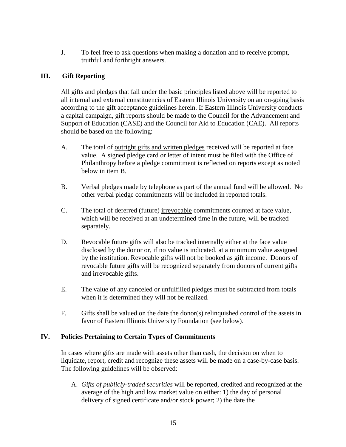J. To feel free to ask questions when making a donation and to receive prompt, truthful and forthright answers.

# **III. Gift Reporting**

All gifts and pledges that fall under the basic principles listed above will be reported to all internal and external constituencies of Eastern Illinois University on an on-going basis according to the gift acceptance guidelines herein. If Eastern Illinois University conducts a capital campaign, gift reports should be made to the Council for the Advancement and Support of Education (CASE) and the Council for Aid to Education (CAE). All reports should be based on the following:

- A. The total of outright gifts and written pledges received will be reported at face value. A signed pledge card or letter of intent must be filed with the Office of Philanthropy before a pledge commitment is reflected on reports except as noted below in item B.
- B. Verbal pledges made by telephone as part of the annual fund will be allowed. No other verbal pledge commitments will be included in reported totals.
- C. The total of deferred (future) irrevocable commitments counted at face value, which will be received at an undetermined time in the future, will be tracked separately.
- D. Revocable future gifts will also be tracked internally either at the face value disclosed by the donor or, if no value is indicated, at a minimum value assigned by the institution. Revocable gifts will not be booked as gift income. Donors of revocable future gifts will be recognized separately from donors of current gifts and irrevocable gifts.
- E. The value of any canceled or unfulfilled pledges must be subtracted from totals when it is determined they will not be realized.
- F. Gifts shall be valued on the date the donor(s) relinquished control of the assets in favor of Eastern Illinois University Foundation (see below).

# **IV. Policies Pertaining to Certain Types of Commitments**

In cases where gifts are made with assets other than cash, the decision on when to liquidate, report, credit and recognize these assets will be made on a case-by-case basis. The following guidelines will be observed:

A. *Gifts of publicly-traded securities* will be reported, credited and recognized at the average of the high and low market value on either: 1) the day of personal delivery of signed certificate and/or stock power; 2) the date the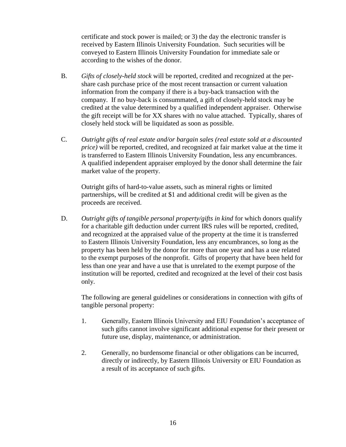certificate and stock power is mailed; or 3) the day the electronic transfer is received by Eastern Illinois University Foundation. Such securities will be conveyed to Eastern Illinois University Foundation for immediate sale or according to the wishes of the donor.

- B. *Gifts of closely-held stock* will be reported, credited and recognized at the pershare cash purchase price of the most recent transaction or current valuation information from the company if there is a buy-back transaction with the company. If no buy-back is consummated, a gift of closely-held stock may be credited at the value determined by a qualified independent appraiser. Otherwise the gift receipt will be for XX shares with no value attached. Typically, shares of closely held stock will be liquidated as soon as possible.
- C. *Outright gifts of real estate and/or bargain sales (real estate sold at a discounted price)* will be reported, credited, and recognized at fair market value at the time it is transferred to Eastern Illinois University Foundation, less any encumbrances. A qualified independent appraiser employed by the donor shall determine the fair market value of the property.

Outright gifts of hard-to-value assets, such as mineral rights or limited partnerships, will be credited at \$1 and additional credit will be given as the proceeds are received.

D. *Outright gifts of tangible personal property/gifts in kind for which donors qualify* for a charitable gift deduction under current IRS rules will be reported, credited, and recognized at the appraised value of the property at the time it is transferred to Eastern Illinois University Foundation, less any encumbrances, so long as the property has been held by the donor for more than one year and has a use related to the exempt purposes of the nonprofit. Gifts of property that have been held for less than one year and have a use that is unrelated to the exempt purpose of the institution will be reported, credited and recognized at the level of their cost basis only.

The following are general guidelines or considerations in connection with gifts of tangible personal property:

- 1. Generally, Eastern Illinois University and EIU Foundation's acceptance of such gifts cannot involve significant additional expense for their present or future use, display, maintenance, or administration.
- 2. Generally, no burdensome financial or other obligations can be incurred, directly or indirectly, by Eastern Illinois University or EIU Foundation as a result of its acceptance of such gifts.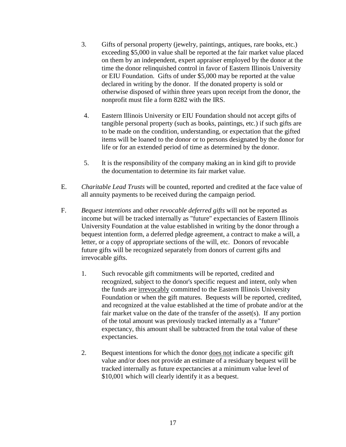- 3. Gifts of personal property (jewelry, paintings, antiques, rare books, etc.) exceeding \$5,000 in value shall be reported at the fair market value placed on them by an independent, expert appraiser employed by the donor at the time the donor relinquished control in favor of Eastern Illinois University or EIU Foundation. Gifts of under \$5,000 may be reported at the value declared in writing by the donor. If the donated property is sold or otherwise disposed of within three years upon receipt from the donor, the nonprofit must file a form 8282 with the IRS.
- 4. Eastern Illinois University or EIU Foundation should not accept gifts of tangible personal property (such as books, paintings, etc.) if such gifts are to be made on the condition, understanding, or expectation that the gifted items will be loaned to the donor or to persons designated by the donor for life or for an extended period of time as determined by the donor.
- 5. It is the responsibility of the company making an in kind gift to provide the documentation to determine its fair market value.
- E. *Charitable Lead Trusts* will be counted, reported and credited at the face value of all annuity payments to be received during the campaign period.
- F. *Bequest intentions* and other *revocable deferred gifts* will not be reported as income but will be tracked internally as "future" expectancies of Eastern Illinois University Foundation at the value established in writing by the donor through a bequest intention form, a deferred pledge agreement, a contract to make a will, a letter, or a copy of appropriate sections of the will, etc. Donors of revocable future gifts will be recognized separately from donors of current gifts and irrevocable gifts.
	- 1. Such revocable gift commitments will be reported, credited and recognized, subject to the donor's specific request and intent, only when the funds are irrevocably committed to the Eastern Illinois University Foundation or when the gift matures. Bequests will be reported, credited, and recognized at the value established at the time of probate and/or at the fair market value on the date of the transfer of the asset(s). If any portion of the total amount was previously tracked internally as a "future" expectancy, this amount shall be subtracted from the total value of these expectancies.
	- 2. Bequest intentions for which the donor does not indicate a specific gift value and/or does not provide an estimate of a residuary bequest will be tracked internally as future expectancies at a minimum value level of \$10,001 which will clearly identify it as a bequest.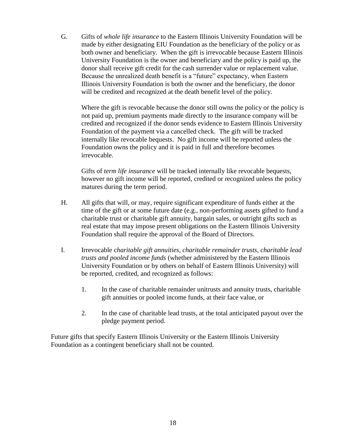G. Gifts of *whole life insurance* to the Eastern Illinois University Foundation will be made by either designating EIU Foundation as the beneficiary of the policy or as both owner and beneficiary. When the gift is irrevocable because Eastern Illinois University Foundation is the owner and beneficiary and the policy is paid up, the donor shall receive gift credit for the cash surrender value or replacement value. Because the unrealized death benefit is a "future" expectancy, when Eastern Illinois University Foundation is both the owner and the beneficiary, the donor will be credited and recognized at the death benefit level of the policy.

Where the gift is revocable because the donor still owns the policy or the policy is not paid up, premium payments made directly to the insurance company will be credited and recognized if the donor sends evidence to Eastern Illinois University Foundation of the payment via a cancelled check. The gift will be tracked internally like revocable bequests. No gift income will be reported unless the Foundation owns the policy and it is paid in full and therefore becomes irrevocable.

Gifts of *term life insurance* will be tracked internally like revocable bequests, however no gift income will be reported, credited or recognized unless the policy matures during the term period.

- H. All gifts that will, or may, require significant expenditure of funds either at the time of the gift or at some future date (e.g., non-performing assets gifted to fund a charitable trust or charitable gift annuity, bargain sales, or outright gifts such as real estate that may impose present obligations on the Eastern Illinois University Foundation shall require the approval of the Board of Directors.
- I. Irrevocable c*haritable gift annuities, charitable remainder trusts*, *charitable lead trusts and pooled income funds* (whether administered by the Eastern Illinois University Foundation or by others on behalf of Eastern Illinois University) will be reported, credited, and recognized as follows:
	- 1. In the case of charitable remainder unitrusts and annuity trusts, charitable gift annuities or pooled income funds, at their face value, or
	- 2. In the case of charitable lead trusts, at the total anticipated payout over the pledge payment period.

Future gifts that specify Eastern Illinois University or the Eastern Illinois University Foundation as a contingent beneficiary shall not be counted.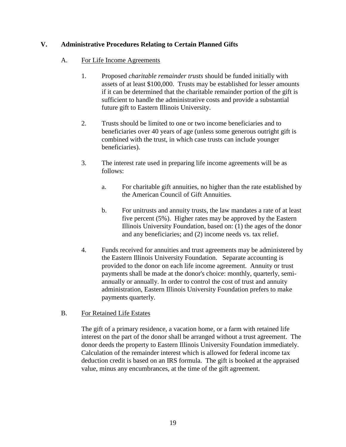# **V. Administrative Procedures Relating to Certain Planned Gifts**

## A. For Life Income Agreements

- 1. Proposed *charitable remainder trusts* should be funded initially with assets of at least \$100,000. Trusts may be established for lesser amounts if it can be determined that the charitable remainder portion of the gift is sufficient to handle the administrative costs and provide a substantial future gift to Eastern Illinois University.
- 2. Trusts should be limited to one or two income beneficiaries and to beneficiaries over 40 years of age (unless some generous outright gift is combined with the trust, in which case trusts can include younger beneficiaries).
- 3. The interest rate used in preparing life income agreements will be as follows:
	- a. For charitable gift annuities, no higher than the rate established by the American Council of Gift Annuities.
	- b. For unitrusts and annuity trusts, the law mandates a rate of at least five percent (5%). Higher rates may be approved by the Eastern Illinois University Foundation, based on: (1) the ages of the donor and any beneficiaries; and (2) income needs vs. tax relief.
- 4. Funds received for annuities and trust agreements may be administered by the Eastern Illinois University Foundation. Separate accounting is provided to the donor on each life income agreement. Annuity or trust payments shall be made at the donor's choice: monthly, quarterly, semiannually or annually. In order to control the cost of trust and annuity administration, Eastern Illinois University Foundation prefers to make payments quarterly.

# B. For Retained Life Estates

The gift of a primary residence, a vacation home, or a farm with retained life interest on the part of the donor shall be arranged without a trust agreement. The donor deeds the property to Eastern Illinois University Foundation immediately. Calculation of the remainder interest which is allowed for federal income tax deduction credit is based on an IRS formula. The gift is booked at the appraised value, minus any encumbrances, at the time of the gift agreement.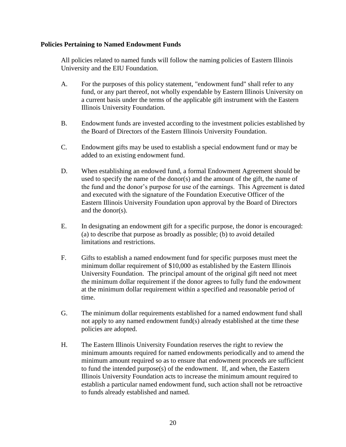#### **Policies Pertaining to Named Endowment Funds**

All policies related to named funds will follow the naming policies of Eastern Illinois University and the EIU Foundation.

- A. For the purposes of this policy statement, "endowment fund" shall refer to any fund, or any part thereof, not wholly expendable by Eastern Illinois University on a current basis under the terms of the applicable gift instrument with the Eastern Illinois University Foundation.
- B. Endowment funds are invested according to the investment policies established by the Board of Directors of the Eastern Illinois University Foundation.
- C. Endowment gifts may be used to establish a special endowment fund or may be added to an existing endowment fund.
- D. When establishing an endowed fund, a formal Endowment Agreement should be used to specify the name of the donor(s) and the amount of the gift, the name of the fund and the donor's purpose for use of the earnings. This Agreement is dated and executed with the signature of the Foundation Executive Officer of the Eastern Illinois University Foundation upon approval by the Board of Directors and the donor(s).
- E. In designating an endowment gift for a specific purpose, the donor is encouraged: (a) to describe that purpose as broadly as possible; (b) to avoid detailed limitations and restrictions.
- F. Gifts to establish a named endowment fund for specific purposes must meet the minimum dollar requirement of \$10,000 as established by the Eastern Illinois University Foundation. The principal amount of the original gift need not meet the minimum dollar requirement if the donor agrees to fully fund the endowment at the minimum dollar requirement within a specified and reasonable period of time.
- G. The minimum dollar requirements established for a named endowment fund shall not apply to any named endowment fund(s) already established at the time these policies are adopted.
- H. The Eastern Illinois University Foundation reserves the right to review the minimum amounts required for named endowments periodically and to amend the minimum amount required so as to ensure that endowment proceeds are sufficient to fund the intended purpose(s) of the endowment. If, and when, the Eastern Illinois University Foundation acts to increase the minimum amount required to establish a particular named endowment fund, such action shall not be retroactive to funds already established and named.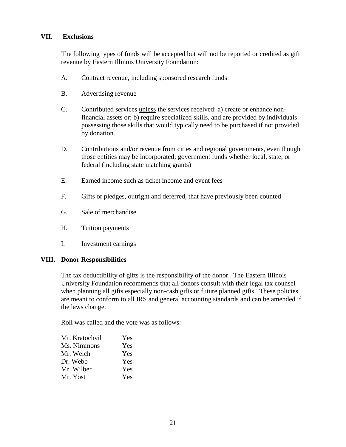#### **VII. Exclusions**

The following types of funds will be accepted but will not be reported or credited as gift revenue by Eastern Illinois University Foundation:

- A. Contract revenue, including sponsored research funds
- B. Advertising revenue
- C. Contributed services unless the services received: a) create or enhance nonfinancial assets or; b) require specialized skills, and are provided by individuals possessing those skills that would typically need to be purchased if not provided by donation.
- D. Contributions and/or revenue from cities and regional governments, even though those entities may be incorporated; government funds whether local, state, or federal (including state matching grants)
- E. Earned income such as ticket income and event fees
- F. Gifts or pledges, outright and deferred, that have previously been counted
- G. Sale of merchandise
- H. Tuition payments
- I. Investment earnings

#### **VIII. Donor Responsibilities**

The tax deductibility of gifts is the responsibility of the donor. The Eastern Illinois University Foundation recommends that all donors consult with their legal tax counsel when planning all gifts especially non-cash gifts or future planned gifts. These policies are meant to conform to all IRS and general accounting standards and can be amended if the laws change.

Roll was called and the vote was as follows:

| Mr. Kratochvil | Yes |
|----------------|-----|
| Ms. Nimmons    | Yes |
| Mr. Welch      | Yes |
| Dr. Webb       | Yes |
| Mr. Wilber     | Yes |
| Mr. Yost       | Yes |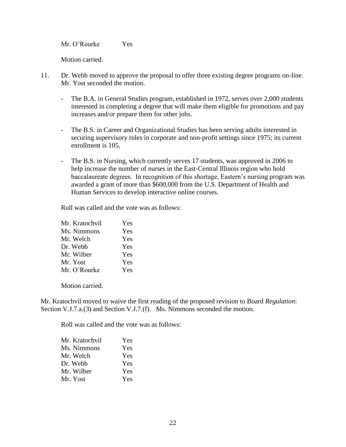Mr. O'Rourke Yes

Motion carried.

- 11. Dr. Webb moved to approve the proposal to offer three existing degree programs on-line. Mr. Yost seconded the motion.
	- The B.A. in General Studies program, established in 1972, serves over 2,000 students interested in completing a degree that will make them eligible for promotions and pay increases and/or prepare them for other jobs.
	- The B.S. in Career and Organizational Studies has been serving adults interested in securing supervisory roles in corporate and non-profit settings since 1975; its current enrollment is 105.
	- The B.S. in Nursing, which currently serves 17 students, was approved in 2006 to help increase the number of nurses in the East-Central Illinois region who hold baccalaureate degrees. In recognition of this shortage, Eastern's nursing program was awarded a grant of more than \$600,000 from the U.S. Department of Health and Human Services to develop interactive online courses.

Roll was called and the vote was as follows:

| Mr. Kratochvil | Yes |
|----------------|-----|
| Ms. Nimmons    | Yes |
| Mr. Welch      | Yes |
| Dr. Webb       | Yes |
| Mr. Wilber     | Yes |
| Mr. Yost       | Yes |
| Mr. O'Rourke   | Yes |

Motion carried.

Mr. Kratochvil moved to waive the first reading of the proposed revision to Board *Regulation*: Section V.J.7.a.(3) and Section V.J.7.(f). Ms. Nimmons seconded the motion.

Roll was called and the vote was as follows:

| Mr. Kratochvil | Yes        |
|----------------|------------|
| Ms. Nimmons    | <b>Yes</b> |
| Mr. Welch      | <b>Yes</b> |
| Dr. Webb       | <b>Yes</b> |
| Mr. Wilber     | <b>Yes</b> |
| Mr. Yost       | Yes        |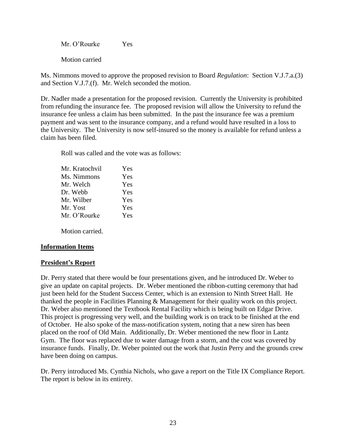Mr. O'Rourke Yes

Motion carried

Ms. Nimmons moved to approve the proposed revision to Board *Regulation*: Section V.J.7.a.(3) and Section V.J.7.(f). Mr. Welch seconded the motion.

Dr. Nadler made a presentation for the proposed revision. Currently the University is prohibited from refunding the insurance fee. The proposed revision will allow the University to refund the insurance fee unless a claim has been submitted. In the past the insurance fee was a premium payment and was sent to the insurance company, and a refund would have resulted in a loss to the University. The University is now self-insured so the money is available for refund unless a claim has been filed.

Roll was called and the vote was as follows:

| Mr. Kratochvil | Yes |
|----------------|-----|
| Ms. Nimmons    | Yes |
| Mr. Welch      | Yes |
| Dr. Webb       | Yes |
| Mr. Wilber     | Yes |
| Mr. Yost       | Yes |
| Mr. O'Rourke   | Yes |
|                |     |

Motion carried.

# **Information Items**

# **President's Report**

Dr. Perry stated that there would be four presentations given, and he introduced Dr. Weber to give an update on capital projects. Dr. Weber mentioned the ribbon-cutting ceremony that had just been held for the Student Success Center, which is an extension to Ninth Street Hall. He thanked the people in Facilities Planning & Management for their quality work on this project. Dr. Weber also mentioned the Textbook Rental Facility which is being built on Edgar Drive. This project is progressing very well, and the building work is on track to be finished at the end of October. He also spoke of the mass-notification system, noting that a new siren has been placed on the roof of Old Main. Additionally, Dr. Weber mentioned the new floor in Lantz Gym. The floor was replaced due to water damage from a storm, and the cost was covered by insurance funds. Finally, Dr. Weber pointed out the work that Justin Perry and the grounds crew have been doing on campus.

Dr. Perry introduced Ms. Cynthia Nichols, who gave a report on the Title IX Compliance Report. The report is below in its entirety.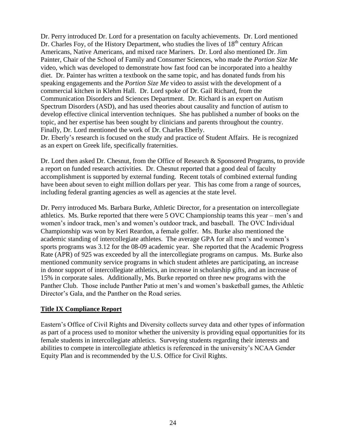Dr. Perry introduced Dr. Lord for a presentation on faculty achievements. Dr. Lord mentioned Dr. Charles Foy, of the History Department, who studies the lives of  $18<sup>th</sup>$  century African Americans, Native Americans, and mixed race Mariners. Dr. Lord also mentioned Dr. Jim Painter, Chair of the School of Family and Consumer Sciences, who made the *Portion Size Me* video, which was developed to demonstrate how fast food can be incorporated into a healthy diet. Dr. Painter has written a textbook on the same topic, and has donated funds from his speaking engagements and the *Portion Size Me* video to assist with the development of a commercial kitchen in Klehm Hall. Dr. Lord spoke of Dr. Gail Richard, from the Communication Disorders and Sciences Department. Dr. Richard is an expert on Autism Spectrum Disorders (ASD), and has used theories about causality and function of autism to develop effective clinical intervention techniques. She has published a number of books on the topic, and her expertise has been sought by clinicians and parents throughout the country. Finally, Dr. Lord mentioned the work of Dr. Charles Eberly. Dr. Eberly's research is focused on the study and practice of Student Affairs. He is recognized

as an expert on Greek life, specifically fraternities.

Dr. Lord then asked Dr. Chesnut, from the Office of Research & Sponsored Programs, to provide a report on funded research activities. Dr. Chesnut reported that a good deal of faculty accomplishment is supported by external funding. Recent totals of combined external funding have been about seven to eight million dollars per year. This has come from a range of sources, including federal granting agencies as well as agencies at the state level.

Dr. Perry introduced Ms. Barbara Burke, Athletic Director, for a presentation on intercollegiate athletics. Ms. Burke reported that there were 5 OVC Championship teams this year – men's and women's indoor track, men's and women's outdoor track, and baseball. The OVC Individual Championship was won by Keri Reardon, a female golfer. Ms. Burke also mentioned the academic standing of intercollegiate athletes. The average GPA for all men's and women's sports programs was 3.12 for the 08-09 academic year. She reported that the Academic Progress Rate (APR) of 925 was exceeded by all the intercollegiate programs on campus. Ms. Burke also mentioned community service programs in which student athletes are participating, an increase in donor support of intercollegiate athletics, an increase in scholarship gifts, and an increase of 15% in corporate sales. Additionally, Ms. Burke reported on three new programs with the Panther Club. Those include Panther Patio at men's and women's basketball games, the Athletic Director's Gala, and the Panther on the Road series.

# **Title IX Compliance Report**

Eastern's Office of Civil Rights and Diversity collects survey data and other types of information as part of a process used to monitor whether the university is providing equal opportunities for its female students in intercollegiate athletics. Surveying students regarding their interests and abilities to compete in intercollegiate athletics is referenced in the university's NCAA Gender Equity Plan and is recommended by the U.S. Office for Civil Rights.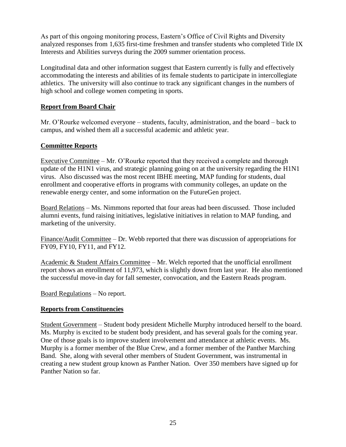As part of this ongoing monitoring process, Eastern's Office of Civil Rights and Diversity analyzed responses from 1,635 first-time freshmen and transfer students who completed Title IX Interests and Abilities surveys during the 2009 summer orientation process.

Longitudinal data and other information suggest that Eastern currently is fully and effectively accommodating the interests and abilities of its female students to participate in intercollegiate athletics. The university will also continue to track any significant changes in the numbers of high school and college women competing in sports.

# **Report from Board Chair**

Mr. O'Rourke welcomed everyone – students, faculty, administration, and the board – back to campus, and wished them all a successful academic and athletic year.

#### **Committee Reports**

Executive Committee – Mr. O'Rourke reported that they received a complete and thorough update of the H1N1 virus, and strategic planning going on at the university regarding the H1N1 virus. Also discussed was the most recent IBHE meeting, MAP funding for students, dual enrollment and cooperative efforts in programs with community colleges, an update on the renewable energy center, and some information on the FutureGen project.

Board Relations – Ms. Nimmons reported that four areas had been discussed. Those included alumni events, fund raising initiatives, legislative initiatives in relation to MAP funding, and marketing of the university.

Finance/Audit Committee – Dr. Webb reported that there was discussion of appropriations for FY09, FY10, FY11, and FY12.

Academic & Student Affairs Committee – Mr. Welch reported that the unofficial enrollment report shows an enrollment of 11,973, which is slightly down from last year. He also mentioned the successful move-in day for fall semester, convocation, and the Eastern Reads program.

Board Regulations – No report.

# **Reports from Constituencies**

Student Government – Student body president Michelle Murphy introduced herself to the board. Ms. Murphy is excited to be student body president, and has several goals for the coming year. One of those goals is to improve student involvement and attendance at athletic events. Ms. Murphy is a former member of the Blue Crew, and a former member of the Panther Marching Band. She, along with several other members of Student Government, was instrumental in creating a new student group known as Panther Nation. Over 350 members have signed up for Panther Nation so far.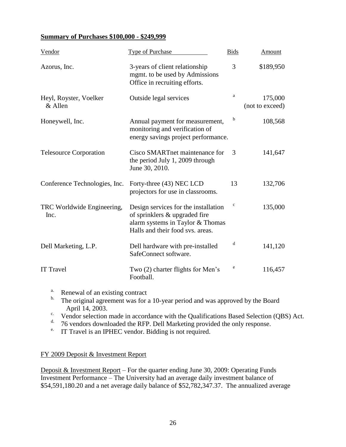#### **Summary of Purchases \$100,000 - \$249,999**

| Vendor                             | <b>Type of Purchase</b>                                                                                                                       | <b>Bids</b> | Amount                     |
|------------------------------------|-----------------------------------------------------------------------------------------------------------------------------------------------|-------------|----------------------------|
| Azorus, Inc.                       | 3-years of client relationship<br>mgmt. to be used by Admissions<br>Office in recruiting efforts.                                             | 3           | \$189,950                  |
| Heyl, Royster, Voelker<br>& Allen  | Outside legal services                                                                                                                        | a           | 175,000<br>(not to exceed) |
| Honeywell, Inc.                    | Annual payment for measurement,<br>monitoring and verification of<br>energy savings project performance.                                      | b           | 108,568                    |
| <b>Telesource Corporation</b>      | Cisco SMARTnet maintenance for<br>the period July 1, 2009 through<br>June 30, 2010.                                                           | 3           | 141,647                    |
| Conference Technologies, Inc.      | Forty-three (43) NEC LCD<br>projectors for use in classrooms.                                                                                 | 13          | 132,706                    |
| TRC Worldwide Engineering,<br>Inc. | Design services for the installation<br>of sprinklers & upgraded fire<br>alarm systems in Taylor & Thomas<br>Halls and their food svs. areas. | $\mathbf c$ | 135,000                    |
| Dell Marketing, L.P.               | Dell hardware with pre-installed<br>SafeConnect software.                                                                                     | d           | 141,120                    |
| <b>IT Travel</b>                   | Two (2) charter flights for Men's<br>Football.                                                                                                | e           | 116,457                    |

- <sup>a.</sup> Renewal of an existing contract  $\frac{b}{c}$ . The original agreement was for a
- The original agreement was for a 10-year period and was approved by the Board April 14, 2003.
- c. Vendor selection made in accordance with the Qualifications Based Selection (QBS) Act.
- d. 76 vendors downloaded the RFP. Dell Marketing provided the only response.
- e. IT Travel is an IPHEC vendor. Bidding is not required.

#### FY 2009 Deposit & Investment Report

Deposit & Investment Report – For the quarter ending June 30, 2009: Operating Funds Investment Performance – The University had an average daily investment balance of \$54,591,180.20 and a net average daily balance of \$52,782,347.37. The annualized average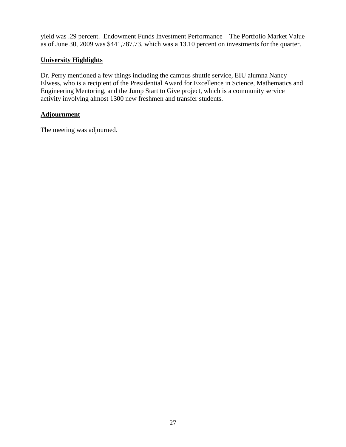yield was .29 percent. Endowment Funds Investment Performance – The Portfolio Market Value as of June 30, 2009 was \$441,787.73, which was a 13.10 percent on investments for the quarter.

# **University Highlights**

Dr. Perry mentioned a few things including the campus shuttle service, EIU alumna Nancy Elwess, who is a recipient of the Presidential Award for Excellence in Science, Mathematics and Engineering Mentoring, and the Jump Start to Give project, which is a community service activity involving almost 1300 new freshmen and transfer students.

# **Adjournment**

The meeting was adjourned.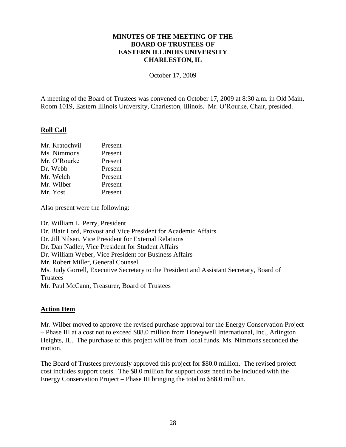#### **MINUTES OF THE MEETING OF THE BOARD OF TRUSTEES OF EASTERN ILLINOIS UNIVERSITY CHARLESTON, IL**

October 17, 2009

A meeting of the Board of Trustees was convened on October 17, 2009 at 8:30 a.m. in Old Main, Room 1019, Eastern Illinois University, Charleston, Illinois. Mr. O'Rourke, Chair, presided.

#### **Roll Call**

| Mr. Kratochvil | Present |
|----------------|---------|
| Ms. Nimmons    | Present |
| Mr. O'Rourke   | Present |
| Dr. Webb       | Present |
| Mr. Welch      | Present |
| Mr. Wilber     | Present |
| Mr. Yost       | Present |

Also present were the following:

Dr. William L. Perry, President Dr. Blair Lord, Provost and Vice President for Academic Affairs Dr. Jill Nilsen, Vice President for External Relations Dr. Dan Nadler, Vice President for Student Affairs Dr. William Weber, Vice President for Business Affairs Mr. Robert Miller, General Counsel Ms. Judy Gorrell, Executive Secretary to the President and Assistant Secretary, Board of **Trustees** Mr. Paul McCann, Treasurer, Board of Trustees

#### **Action Item**

Mr. Wilber moved to approve the revised purchase approval for the Energy Conservation Project – Phase III at a cost not to exceed \$88.0 million from Honeywell International, Inc., Arlington Heights, IL. The purchase of this project will be from local funds. Ms. Nimmons seconded the motion.

The Board of Trustees previously approved this project for \$80.0 million. The revised project cost includes support costs. The \$8.0 million for support costs need to be included with the Energy Conservation Project – Phase III bringing the total to \$88.0 million.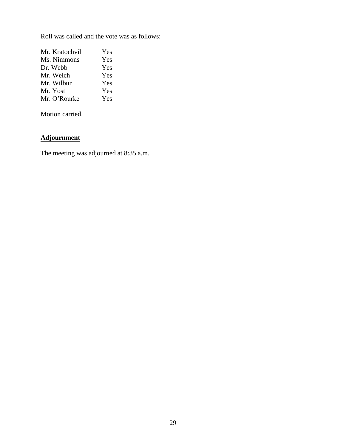Roll was called and the vote was as follows:

| Yes |
|-----|
| Yes |
| Yes |
| Yes |
| Yes |
| Yes |
| Yes |
|     |

Motion carried.

# **Adjournment**

The meeting was adjourned at 8:35 a.m.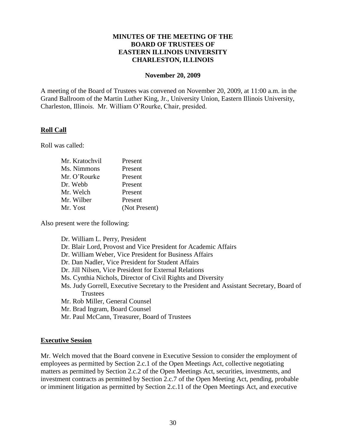#### **MINUTES OF THE MEETING OF THE BOARD OF TRUSTEES OF EASTERN ILLINOIS UNIVERSITY CHARLESTON, ILLINOIS**

#### **November 20, 2009**

A meeting of the Board of Trustees was convened on November 20, 2009, at 11:00 a.m. in the Grand Ballroom of the Martin Luther King, Jr., University Union, Eastern Illinois University, Charleston, Illinois. Mr. William O'Rourke, Chair, presided.

#### **Roll Call**

Roll was called:

| Mr. Kratochvil | Present       |
|----------------|---------------|
| Ms. Nimmons    | Present       |
| Mr. O'Rourke   | Present       |
| Dr. Webb       | Present       |
| Mr. Welch      | Present       |
| Mr. Wilber     | Present       |
| Mr. Yost       | (Not Present) |

Also present were the following:

Dr. William L. Perry, President Dr. Blair Lord, Provost and Vice President for Academic Affairs Dr. William Weber, Vice President for Business Affairs Dr. Dan Nadler, Vice President for Student Affairs Dr. Jill Nilsen, Vice President for External Relations Ms. Cynthia Nichols, Director of Civil Rights and Diversity Ms. Judy Gorrell, Executive Secretary to the President and Assistant Secretary, Board of **Trustees** Mr. Rob Miller, General Counsel Mr. Brad Ingram, Board Counsel Mr. Paul McCann, Treasurer, Board of Trustees

#### **Executive Session**

Mr. Welch moved that the Board convene in Executive Session to consider the employment of employees as permitted by Section 2.c.1 of the Open Meetings Act, collective negotiating matters as permitted by Section 2.c.2 of the Open Meetings Act, securities, investments, and investment contracts as permitted by Section 2.c.7 of the Open Meeting Act, pending, probable or imminent litigation as permitted by Section 2.c.11 of the Open Meetings Act, and executive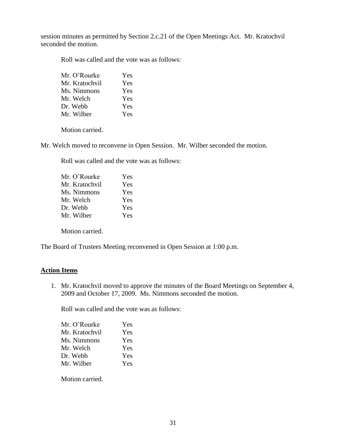session minutes as permitted by Section 2.c.21 of the Open Meetings Act. Mr. Kratochvil seconded the motion.

Roll was called and the vote was as follows:

| Mr. O'Rourke   | Yes |
|----------------|-----|
| Mr. Kratochvil | Yes |
| Ms. Nimmons    | Yes |
| Mr. Welch      | Yes |
| Dr. Webb       | Yes |
| Mr. Wilber     | Yes |

Motion carried.

Mr. Welch moved to reconvene in Open Session. Mr. Wilber seconded the motion.

Roll was called and the vote was as follows:

| Mr. O'Rourke   | Yes |
|----------------|-----|
| Mr. Kratochvil | Yes |
| Ms. Nimmons    | Yes |
| Mr. Welch      | Yes |
| Dr. Webb       | Yes |
| Mr. Wilber     | Yes |
|                |     |

Motion carried.

The Board of Trustees Meeting reconvened in Open Session at 1:00 p.m.

#### **Action Items**

1. Mr. Kratochvil moved to approve the minutes of the Board Meetings on September 4, 2009 and October 17, 2009. Ms. Nimmons seconded the motion.

Roll was called and the vote was as follows:

| Yes |
|-----|
| Yes |
| Yes |
| Yes |
| Yes |
| Yes |
|     |

Motion carried.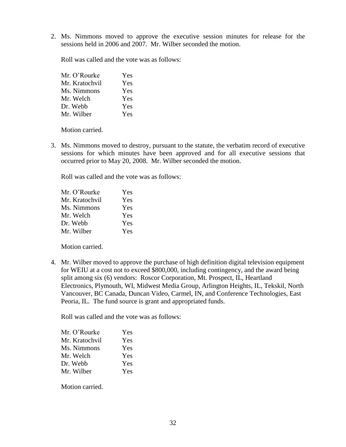2. Ms. Nimmons moved to approve the executive session minutes for release for the sessions held in 2006 and 2007. Mr. Wilber seconded the motion.

Roll was called and the vote was as follows:

| Mr. O'Rourke   | Yes |
|----------------|-----|
| Mr. Kratochvil | Yes |
| Ms. Nimmons    | Yes |
| Mr. Welch      | Yes |
| Dr. Webb       | Yes |
| Mr. Wilber     | Yes |

Motion carried.

3. Ms. Nimmons moved to destroy, pursuant to the statute, the verbatim record of executive sessions for which minutes have been approved and for all executive sessions that occurred prior to May 20, 2008. Mr. Wilber seconded the motion.

Roll was called and the vote was as follows:

| Mr. O'Rourke   | Yes |
|----------------|-----|
| Mr. Kratochvil | Yes |
| Ms. Nimmons    | Yes |
| Mr. Welch      | Yes |
| Dr. Webb       | Yes |
| Mr. Wilber     | Yes |

Motion carried.

4. Mr. Wilber moved to approve the purchase of high definition digital television equipment for WEIU at a cost not to exceed \$800,000, including contingency, and the award being split among six (6) vendors: Roscor Corporation, Mt. Prospect, IL, Heartland Electronics, Plymouth, WI, Midwest Media Group, Arlington Heights, IL, Tekskil, North Vancouver, BC Canada, Duncan Video, Carmel, IN, and Conference Technologies, East Peoria, IL. The fund source is grant and appropriated funds.

Roll was called and the vote was as follows:

| Mr. O'Rourke   | Yes |
|----------------|-----|
| Mr. Kratochvil | Yes |
| Ms. Nimmons    | Yes |
| Mr. Welch      | Yes |
| Dr. Webb       | Yes |
| Mr. Wilber     | Yes |

Motion carried.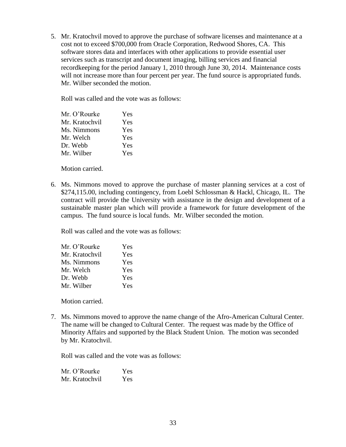5. Mr. Kratochvil moved to approve the purchase of software licenses and maintenance at a cost not to exceed \$700,000 from Oracle Corporation, Redwood Shores, CA. This software stores data and interfaces with other applications to provide essential user services such as transcript and document imaging, billing services and financial recordkeeping for the period January 1, 2010 through June 30, 2014. Maintenance costs will not increase more than four percent per year. The fund source is appropriated funds. Mr. Wilber seconded the motion.

Roll was called and the vote was as follows:

| Mr. O'Rourke   | Yes |
|----------------|-----|
| Mr. Kratochvil | Yes |
| Ms. Nimmons    | Yes |
| Mr. Welch      | Yes |
| Dr. Webb       | Yes |
| Mr. Wilber     | Yes |

Motion carried.

6. Ms. Nimmons moved to approve the purchase of master planning services at a cost of \$274,115.00, including contingency, from Loebl Schlossman & Hackl, Chicago, IL. The contract will provide the University with assistance in the design and development of a sustainable master plan which will provide a framework for future development of the campus. The fund source is local funds. Mr. Wilber seconded the motion.

Roll was called and the vote was as follows:

| Mr. O'Rourke   | Yes |
|----------------|-----|
| Mr. Kratochvil | Yes |
| Ms. Nimmons    | Yes |
| Mr. Welch      | Yes |
| Dr. Webb       | Yes |
| Mr. Wilber     | Yes |

Motion carried.

7. Ms. Nimmons moved to approve the name change of the Afro-American Cultural Center. The name will be changed to Cultural Center. The request was made by the Office of Minority Affairs and supported by the Black Student Union. The motion was seconded by Mr. Kratochvil.

Roll was called and the vote was as follows:

Mr. O'Rourke Yes Mr. Kratochvil Yes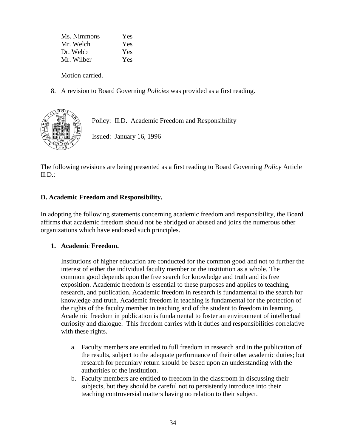Ms. Nimmons Yes Mr. Welch Yes Dr. Webb Yes Mr. Wilber Yes

Motion carried.

8. A revision to Board Governing *Policies* was provided as a first reading.



Policy: II.D. Academic Freedom and Responsibility

Issued: January 16, 1996

The following revisions are being presented as a first reading to Board Governing *Policy* Article  $ILD$ :

# **D. Academic Freedom and Responsibility.**

In adopting the following statements concerning academic freedom and responsibility, the Board affirms that academic freedom should not be abridged or abused and joins the numerous other organizations which have endorsed such principles.

# **1. Academic Freedom.**

Institutions of higher education are conducted for the common good and not to further the interest of either the individual faculty member or the institution as a whole. The common good depends upon the free search for knowledge and truth and its free exposition. Academic freedom is essential to these purposes and applies to teaching, research, and publication. Academic freedom in research is fundamental to the search for knowledge and truth. Academic freedom in teaching is fundamental for the protection of the rights of the faculty member in teaching and of the student to freedom in learning. Academic freedom in publication is fundamental to foster an environment of intellectual curiosity and dialogue. This freedom carries with it duties and responsibilities correlative with these rights.

- a. Faculty members are entitled to full freedom in research and in the publication of the results, subject to the adequate performance of their other academic duties; but research for pecuniary return should be based upon an understanding with the authorities of the institution.
- b. Faculty members are entitled to freedom in the classroom in discussing their subjects, but they should be careful not to persistently introduce into their teaching controversial matters having no relation to their subject.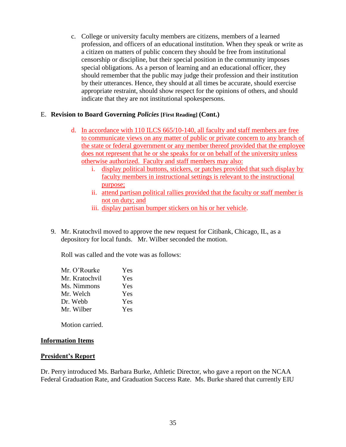c. College or university faculty members are citizens, members of a learned profession, and officers of an educational institution. When they speak or write as a citizen on matters of public concern they should be free from institutional censorship or discipline, but their special position in the community imposes special obligations. As a person of learning and an educational officer, they should remember that the public may judge their profession and their institution by their utterances. Hence, they should at all times be accurate, should exercise appropriate restraint, should show respect for the opinions of others, and should indicate that they are not institutional spokespersons.

#### E. **Revision to Board Governing** *Policies* **[First Reading] (Cont.)**

- d. In accordance with 110 ILCS 665/10-140, all faculty and staff members are free to communicate views on any matter of public or private concern to any branch of the state or federal government or any member thereof provided that the employee does not represent that he or she speaks for or on behalf of the university unless otherwise authorized. Faculty and staff members may also:
	- i. display political buttons, stickers, or patches provided that such display by faculty members in instructional settings is relevant to the instructional purpose;
	- ii. attend partisan political rallies provided that the faculty or staff member is not on duty; and
	- iii. display partisan bumper stickers on his or her vehicle.
- 9. Mr. Kratochvil moved to approve the new request for Citibank, Chicago, IL, as a depository for local funds. Mr. Wilber seconded the motion.

Roll was called and the vote was as follows:

| Yes |
|-----|
| Yes |
| Yes |
| Yes |
| Yes |
| Yes |
|     |

Motion carried.

#### **Information Items**

#### **President's Report**

Dr. Perry introduced Ms. Barbara Burke, Athletic Director, who gave a report on the NCAA Federal Graduation Rate, and Graduation Success Rate. Ms. Burke shared that currently EIU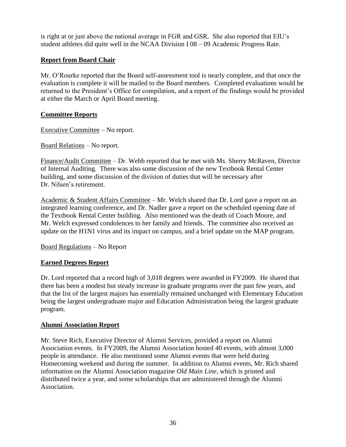is right at or just above the national average in FGR and GSR. She also reported that EIU's student athletes did quite well in the NCAA Division I 08 – 09 Academic Progress Rate.

# **Report from Board Chair**

Mr. O'Rourke reported that the Board self-assessment tool is nearly complete, and that once the evaluation is complete it will be mailed to the Board members. Completed evaluations would be returned to the President's Office for compilation, and a report of the findings would be provided at either the March or April Board meeting.

# **Committee Reports**

Executive Committee – No report.

Board Relations – No report.

Finance/Audit Committee – Dr. Webb reported that he met with Ms. Sherry McRaven, Director of Internal Auditing. There was also some discussion of the new Textbook Rental Center building, and some discussion of the division of duties that will be necessary after Dr. Nilsen's retirement.

Academic & Student Affairs Committee – Mr. Welch shared that Dr. Lord gave a report on an integrated learning conference, and Dr. Nadler gave a report on the scheduled opening date of the Textbook Rental Center building. Also mentioned was the death of Coach Moore, and Mr. Welch expressed condolences to her family and friends. The committee also received an update on the H1N1 virus and its impact on campus, and a brief update on the MAP program.

Board Regulations – No Report

# **Earned Degrees Report**

Dr. Lord reported that a record high of 3,018 degrees were awarded in FY2009. He shared that there has been a modest but steady increase in graduate programs over the past few years, and that the list of the largest majors has essentially remained unchanged with Elementary Education being the largest undergraduate major and Education Administration being the largest graduate program.

# **Alumni Association Report**

Mr. Steve Rich, Executive Director of Alumni Services, provided a report on Alumni Association events. In FY2009, the Alumni Association hosted 40 events, with almost 3,000 people in attendance. He also mentioned some Alumni events that were held during Homecoming weekend and during the summer. In addition to Alumni events, Mr. Rich shared information on the Alumni Association magazine *Old Main Line*, which is printed and distributed twice a year, and some scholarships that are administered through the Alumni Association.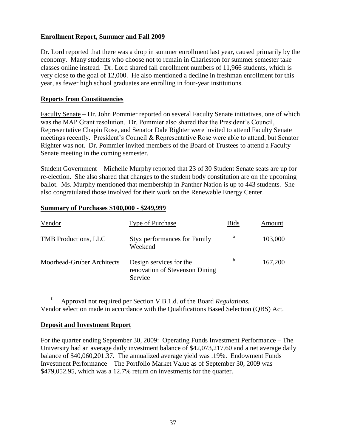## **Enrollment Report, Summer and Fall 2009**

Dr. Lord reported that there was a drop in summer enrollment last year, caused primarily by the economy. Many students who choose not to remain in Charleston for summer semester take classes online instead. Dr. Lord shared fall enrollment numbers of 11,966 students, which is very close to the goal of 12,000. He also mentioned a decline in freshman enrollment for this year, as fewer high school graduates are enrolling in four-year institutions.

### **Reports from Constituencies**

Faculty Senate – Dr. John Pommier reported on several Faculty Senate initiatives, one of which was the MAP Grant resolution. Dr. Pommier also shared that the President's Council, Representative Chapin Rose, and Senator Dale Righter were invited to attend Faculty Senate meetings recently. President's Council & Representative Rose were able to attend, but Senator Righter was not. Dr. Pommier invited members of the Board of Trustees to attend a Faculty Senate meeting in the coming semester.

Student Government – Michelle Murphy reported that 23 of 30 Student Senate seats are up for re-election. She also shared that changes to the student body constitution are on the upcoming ballot. Ms. Murphy mentioned that membership in Panther Nation is up to 443 students. She also congratulated those involved for their work on the Renewable Energy Center.

### **Summary of Purchases \$100,000 - \$249,999**

| Vendor                      | <b>Type of Purchase</b>                                              | <b>Bids</b> | Amount  |
|-----------------------------|----------------------------------------------------------------------|-------------|---------|
| <b>TMB</b> Productions, LLC | <b>Styx performances for Family</b><br>Weekend                       | a           | 103,000 |
| Moorhead-Gruber Architects  | Design services for the<br>renovation of Stevenson Dining<br>Service | b           | 167,200 |

f. Approval not required per Section V.B.1.d. of the Board *Regulations.* Vendor selection made in accordance with the Qualifications Based Selection (QBS) Act.

### **Deposit and Investment Report**

For the quarter ending September 30, 2009: Operating Funds Investment Performance – The University had an average daily investment balance of \$42,073,217.60 and a net average daily balance of \$40,060,201.37. The annualized average yield was .19%. Endowment Funds Investment Performance – The Portfolio Market Value as of September 30, 2009 was \$479,052.95, which was a 12.7% return on investments for the quarter.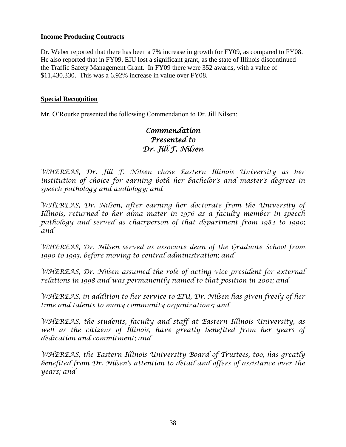## **Income Producing Contracts**

Dr. Weber reported that there has been a 7% increase in growth for FY09, as compared to FY08. He also reported that in FY09, EIU lost a significant grant, as the state of Illinois discontinued the Traffic Safety Management Grant. In FY09 there were 352 awards, with a value of \$11,430,330. This was a 6.92% increase in value over FY08.

## **Special Recognition**

Mr. O'Rourke presented the following Commendation to Dr. Jill Nilsen:

# *Commendation Presented to Dr. Jill F. Nilsen*

*WHEREAS, Dr. Jill F. Nilsen chose Eastern Illinois University as her institution of choice for earning both her bachelor's and master's degrees in speech pathology and audiology; and*

*WHEREAS, Dr. Nilsen, after earning her doctorate from the University of Illinois, returned to her alma mater in 1976 as a faculty member in speech*  pathology and served as chairperson of that department from 1984 to 1990; *and*

*WHEREAS, Dr. Nilsen served as associate dean of the Graduate School from 1990 to 1993, before moving to central administration; and* 

WHEREAS, Dr. Nilsen assumed the role of acting vice president for external *relations in 1998 and was permanently named to that position in 2001; and*

*WHEREAS, in addition to her service to EIU, Dr. Nilsen has given freely of her time and talents to many community organizations; and*

*WHEREAS, the students, faculty and staff at Eastern Illinois University, as*  well as the citizens of Illinois, have greatly benefited from her years of *dedication and commitment; and* 

*WHEREAS, the Eastern Illinois University Board of Trustees, too, has greatly benefited from Dr. Nilsen's attention to detail and offers of assistance over the years; and*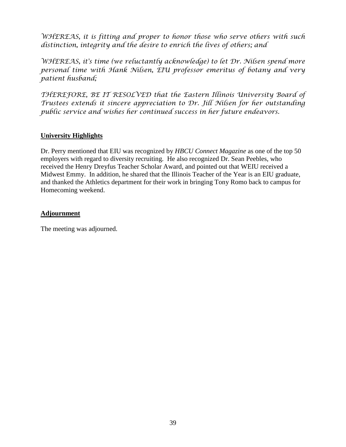*WHEREAS, it is fitting and proper to honor those who serve others with such distinction, integrity and the desire to enrich the lives of others; and*

*WHEREAS, it's time (we reluctantly acknowledge) to let Dr. Nilsen spend more personal time with Hank Nilsen, EIU professor emeritus of botany and very patient husband;*

*THEREFORE, BE IT RESOLVED that the Eastern Illinois University Board of Trustees extends it sincere appreciation to Dr. Jill Nilsen for her outstanding public service and wishes her continued success in her future endeavors.*

## **University Highlights**

Dr. Perry mentioned that EIU was recognized by *HBCU Connect Magazine* as one of the top 50 employers with regard to diversity recruiting. He also recognized Dr. Sean Peebles, who received the Henry Dreyfus Teacher Scholar Award, and pointed out that WEIU received a Midwest Emmy. In addition, he shared that the Illinois Teacher of the Year is an EIU graduate, and thanked the Athletics department for their work in bringing Tony Romo back to campus for Homecoming weekend.

## **Adjournment**

The meeting was adjourned.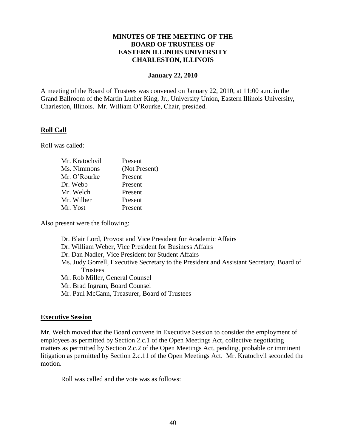### **MINUTES OF THE MEETING OF THE BOARD OF TRUSTEES OF EASTERN ILLINOIS UNIVERSITY CHARLESTON, ILLINOIS**

#### **January 22, 2010**

A meeting of the Board of Trustees was convened on January 22, 2010, at 11:00 a.m. in the Grand Ballroom of the Martin Luther King, Jr., University Union, Eastern Illinois University, Charleston, Illinois. Mr. William O'Rourke, Chair, presided.

#### **Roll Call**

Roll was called:

| Mr. Kratochvil | Present       |
|----------------|---------------|
| Ms. Nimmons    | (Not Present) |
| Mr. O'Rourke   | Present       |
| Dr. Webb       | Present       |
| Mr. Welch      | Present       |
| Mr. Wilber     | Present       |
| Mr. Yost       | Present       |
|                |               |

Also present were the following:

- Dr. Blair Lord, Provost and Vice President for Academic Affairs
- Dr. William Weber, Vice President for Business Affairs
- Dr. Dan Nadler, Vice President for Student Affairs
- Ms. Judy Gorrell, Executive Secretary to the President and Assistant Secretary, Board of **Trustees**
- Mr. Rob Miller, General Counsel
- Mr. Brad Ingram, Board Counsel
- Mr. Paul McCann, Treasurer, Board of Trustees

#### **Executive Session**

Mr. Welch moved that the Board convene in Executive Session to consider the employment of employees as permitted by Section 2.c.1 of the Open Meetings Act, collective negotiating matters as permitted by Section 2.c.2 of the Open Meetings Act, pending, probable or imminent litigation as permitted by Section 2.c.11 of the Open Meetings Act. Mr. Kratochvil seconded the motion.

Roll was called and the vote was as follows: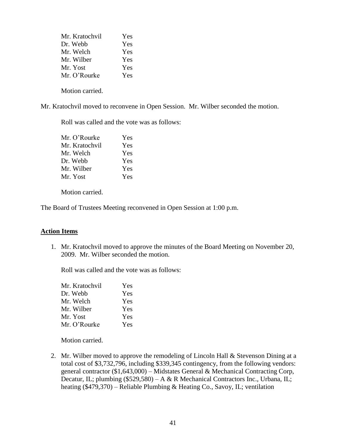| Mr. Kratochvil | Yes |
|----------------|-----|
| Dr. Webb       | Yes |
| Mr. Welch      | Yes |
| Mr. Wilber     | Yes |
| Mr. Yost       | Yes |
| Mr. O'Rourke   | Yes |
|                |     |

Motion carried.

Mr. Kratochvil moved to reconvene in Open Session. Mr. Wilber seconded the motion.

Roll was called and the vote was as follows:

| Mr. O'Rourke   | Yes |
|----------------|-----|
| Mr. Kratochvil | Yes |
| Mr. Welch      | Yes |
| Dr. Webb       | Yes |
| Mr. Wilber     | Yes |
| Mr. Yost       | Yes |

Motion carried.

The Board of Trustees Meeting reconvened in Open Session at 1:00 p.m.

### **Action Items**

1. Mr. Kratochvil moved to approve the minutes of the Board Meeting on November 20, 2009. Mr. Wilber seconded the motion.

Roll was called and the vote was as follows:

| Mr. Kratochvil | Yes |
|----------------|-----|
| Dr. Webb       | Yes |
| Mr. Welch      | Yes |
| Mr. Wilber     | Yes |
| Mr. Yost       | Yes |
| Mr. O'Rourke   | Yes |

Motion carried.

2. Mr. Wilber moved to approve the remodeling of Lincoln Hall & Stevenson Dining at a total cost of \$3,732,796, including \$339,345 contingency, from the following vendors: general contractor (\$1,643,000) – Midstates General & Mechanical Contracting Corp, Decatur, IL; plumbing (\$529,580) – A & R Mechanical Contractors Inc., Urbana, IL; heating (\$479,370) – Reliable Plumbing & Heating Co., Savoy, IL; ventilation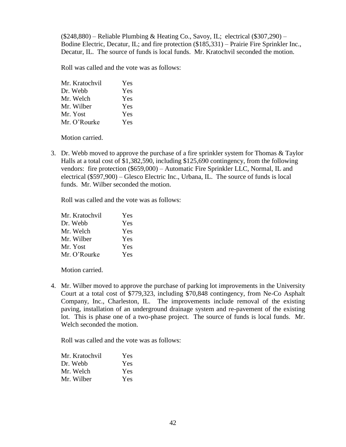(\$248,880) – Reliable Plumbing & Heating Co., Savoy, IL; electrical (\$307,290) – Bodine Electric, Decatur, IL; and fire protection (\$185,331) – Prairie Fire Sprinkler Inc., Decatur, IL. The source of funds is local funds. Mr. Kratochvil seconded the motion.

Roll was called and the vote was as follows:

| Mr. Kratochvil | Yes |
|----------------|-----|
| Dr. Webb       | Yes |
| Mr. Welch      | Yes |
| Mr. Wilber     | Yes |
| Mr. Yost       | Yes |
| Mr. O'Rourke   | Yes |

Motion carried.

3. Dr. Webb moved to approve the purchase of a fire sprinkler system for Thomas & Taylor Halls at a total cost of \$1,382,590, including \$125,690 contingency, from the following vendors: fire protection (\$659,000) – Automatic Fire Sprinkler LLC, Normal, IL and electrical (\$597,900) – Glesco Electric Inc., Urbana, IL. The source of funds is local funds. Mr. Wilber seconded the motion.

Roll was called and the vote was as follows:

| Mr. Kratochvil | Yes |
|----------------|-----|
| Dr. Webb       | Yes |
| Mr. Welch      | Yes |
| Mr. Wilber     | Yes |
| Mr. Yost       | Yes |
| Mr. O'Rourke   | Yes |

Motion carried.

4. Mr. Wilber moved to approve the purchase of parking lot improvements in the University Court at a total cost of \$779,323, including \$70,848 contingency, from Ne-Co Asphalt Company, Inc., Charleston, IL. The improvements include removal of the existing paving, installation of an underground drainage system and re-pavement of the existing lot. This is phase one of a two-phase project. The source of funds is local funds. Mr. Welch seconded the motion.

Roll was called and the vote was as follows:

| Mr. Kratochvil | <b>Yes</b> |
|----------------|------------|
| Dr. Webb       | <b>Yes</b> |
| Mr. Welch      | Yes.       |
| Mr. Wilber     | Yes.       |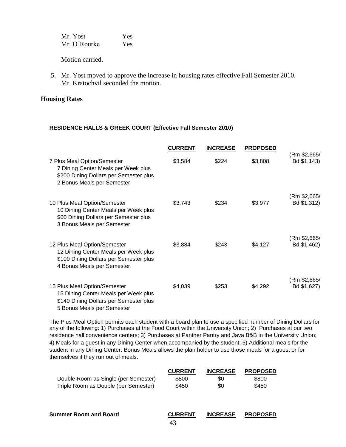| Mr. Yost     | <b>Yes</b> |
|--------------|------------|
| Mr. O'Rourke | Yes        |

Motion carried.

5. Mr. Yost moved to approve the increase in housing rates effective Fall Semester 2010. Mr. Kratochvil seconded the motion.

#### **Housing Rates**

#### **RESIDENCE HALLS & GREEK COURT (Effective Fall Semester 2010)**

|                                                                                                                                              | <b>CURRENT</b> | <b>INCREASE</b> | <b>PROPOSED</b> |                             |
|----------------------------------------------------------------------------------------------------------------------------------------------|----------------|-----------------|-----------------|-----------------------------|
| 7 Plus Meal Option/Semester<br>7 Dining Center Meals per Week plus<br>\$200 Dining Dollars per Semester plus<br>2 Bonus Meals per Semester   | \$3,584        | \$224           | \$3,808         | (Rm \$2,665/<br>Bd \$1,143) |
| 10 Plus Meal Option/Semester<br>10 Dining Center Meals per Week plus<br>\$60 Dining Dollars per Semester plus<br>3 Bonus Meals per Semester  | \$3,743        | \$234           | \$3,977         | (Rm \$2,665/<br>Bd \$1,312) |
| 12 Plus Meal Option/Semester<br>12 Dining Center Meals per Week plus<br>\$100 Dining Dollars per Semester plus<br>4 Bonus Meals per Semester | \$3,884        | \$243           | \$4,127         | (Rm \$2,665/<br>Bd \$1,462) |
| 15 Plus Meal Option/Semester<br>15 Dining Center Meals per Week plus<br>\$140 Dining Dollars per Semester plus<br>5 Bonus Meals per Semester | \$4,039        | \$253           | \$4,292         | (Rm \$2,665/<br>Bd \$1,627) |

The Plus Meal Option permits each student with a board plan to use a specified number of Dining Dollars for any of the following: 1) Purchases at the Food Court within the University Union; 2) Purchases at our two residence hall convenience centers; 3) Purchases at Panther Pantry and Java B&B in the University Union; 4) Meals for a guest in any Dining Center when accompanied by the student; 5) Additional meals for the student in any Dining Center. Bonus Meals allows the plan holder to use those meals for a guest or for themselves if they run out of meals.

|                                      | <b>CURRENT</b> | <b>INCREASE</b> | <b>PROPOSED</b> |  |
|--------------------------------------|----------------|-----------------|-----------------|--|
| Double Room as Single (per Semester) | \$800          | \$0             | \$800           |  |
| Triple Room as Double (per Semester) | \$450          | \$0             | \$450           |  |
|                                      |                |                 |                 |  |
| Summer Room and Board                | <b>CURRENT</b> | <b>INCREASE</b> | <b>PROPOSED</b> |  |
|                                      | 43             |                 |                 |  |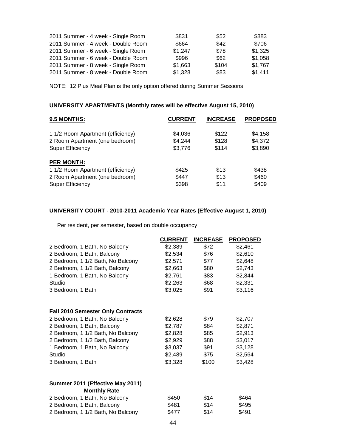| 2011 Summer - 4 week - Single Room | \$831   | \$52  | \$883   |
|------------------------------------|---------|-------|---------|
| 2011 Summer - 4 week - Double Room | \$664   | \$42  | \$706   |
| 2011 Summer - 6 week - Single Room | \$1,247 | \$78  | \$1,325 |
| 2011 Summer - 6 week - Double Room | \$996   | \$62  | \$1,058 |
| 2011 Summer - 8 week - Single Room | \$1,663 | \$104 | \$1,767 |
| 2011 Summer - 8 week - Double Room | \$1,328 | \$83  | \$1,411 |

NOTE: 12 Plus Meal Plan is the only option offered during Summer Sessions

## **UNIVERSITY APARTMENTS (Monthly rates will be effective August 15, 2010)**

| 9.5 MONTHS:                       | <b>CURRENT</b> | <b>INCREASE</b> | <b>PROPOSED</b> |
|-----------------------------------|----------------|-----------------|-----------------|
| 1 1/2 Room Apartment (efficiency) | \$4,036        | \$122           | \$4,158         |
| 2 Room Apartment (one bedroom)    | \$4,244        | \$128           | \$4,372         |
| <b>Super Efficiency</b>           | \$3,776        | \$114           | \$3,890         |
| <b>PER MONTH:</b>                 |                |                 |                 |
| 1 1/2 Room Apartment (efficiency) | \$425          | \$13            | \$438           |
| 2 Room Apartment (one bedroom)    | \$447          | \$13            | \$460           |
| <b>Super Efficiency</b>           | \$398          | \$11            | \$409           |

## **UNIVERSITY COURT - 2010-2011 Academic Year Rates (Effective August 1, 2010)**

Per resident, per semester, based on double occupancy

|                                          | <b>CURRENT</b> | <b>INCREASE</b> | <b>PROPOSED</b> |
|------------------------------------------|----------------|-----------------|-----------------|
| 2 Bedroom, 1 Bath, No Balcony            | \$2,389        | \$72            | \$2,461         |
| 2 Bedroom, 1 Bath, Balcony               | \$2,534        | \$76            | \$2,610         |
| 2 Bedroom, 1 1/2 Bath, No Balcony        | \$2,571        | \$77            | \$2,648         |
| 2 Bedroom, 1 1/2 Bath, Balcony           | \$2,663        | \$80            | \$2,743         |
| 1 Bedroom, 1 Bath, No Balcony            | \$2,761        | \$83            | \$2,844         |
| Studio                                   | \$2,263        | \$68            | \$2,331         |
| 3 Bedroom, 1 Bath                        | \$3,025        | \$91            | \$3,116         |
| <b>Fall 2010 Semester Only Contracts</b> |                |                 |                 |
| 2 Bedroom, 1 Bath, No Balcony            | \$2,628        | \$79            | \$2,707         |
| 2 Bedroom, 1 Bath, Balcony               | \$2,787        | \$84            | \$2,871         |
| 2 Bedroom, 1 1/2 Bath, No Balcony        | \$2,828        | \$85            | \$2,913         |
| 2 Bedroom, 1 1/2 Bath, Balcony           | \$2,929        | \$88            | \$3,017         |
| 1 Bedroom, 1 Bath, No Balcony            | \$3,037        | \$91            | \$3,128         |
| Studio                                   | \$2,489        | \$75            | \$2,564         |
| 3 Bedroom, 1 Bath                        | \$3,328        | \$100           | \$3,428         |
| Summer 2011 (Effective May 2011)         |                |                 |                 |
| <b>Monthly Rate</b>                      |                |                 |                 |
| 2 Bedroom, 1 Bath, No Balcony            | \$450          | \$14            | \$464           |
| 2 Bedroom, 1 Bath, Balcony               | \$481          | \$14            | \$495           |
| 2 Bedroom, 1 1/2 Bath, No Balcony        | \$477          | \$14            | \$491           |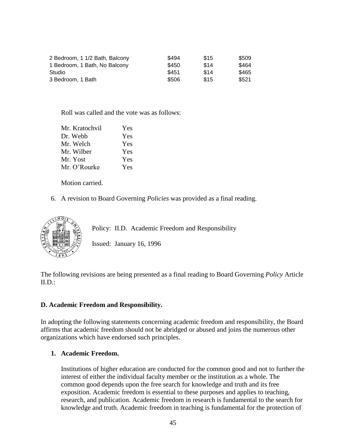| 2 Bedroom, 1 1/2 Bath, Balcony | \$494 | \$15 | \$509 |
|--------------------------------|-------|------|-------|
| 1 Bedroom, 1 Bath, No Balcony  | \$450 | \$14 | \$464 |
| Studio                         | \$451 | \$14 | \$465 |
| 3 Bedroom, 1 Bath              | \$506 | \$15 | \$521 |

Roll was called and the vote was as follows:

| Mr. Kratochvil | Yes |
|----------------|-----|
| Dr. Webb       | Yes |
| Mr. Welch      | Yes |
| Mr. Wilber     | Yes |
| Mr. Yost       | Yes |
| Mr. O'Rourke   | Yes |

Motion carried.

6. A revision to Board Governing *Policies* was provided as a final reading.



Policy: II.D. Academic Freedom and Responsibility

Issued: January 16, 1996

The following revisions are being presented as a final reading to Board Governing *Policy* Article  $ILD$ :

#### **D. Academic Freedom and Responsibility.**

In adopting the following statements concerning academic freedom and responsibility, the Board affirms that academic freedom should not be abridged or abused and joins the numerous other organizations which have endorsed such principles.

#### **1. Academic Freedom.**

Institutions of higher education are conducted for the common good and not to further the interest of either the individual faculty member or the institution as a whole. The common good depends upon the free search for knowledge and truth and its free exposition. Academic freedom is essential to these purposes and applies to teaching, research, and publication. Academic freedom in research is fundamental to the search for knowledge and truth. Academic freedom in teaching is fundamental for the protection of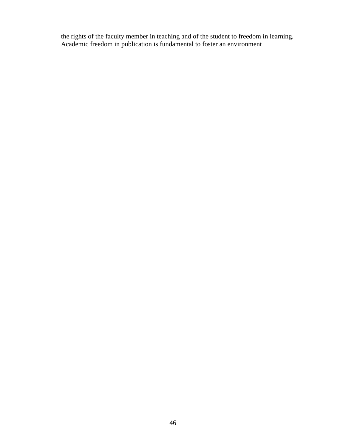the rights of the faculty member in teaching and of the student to freedom in learning. Academic freedom in publication is fundamental to foster an environment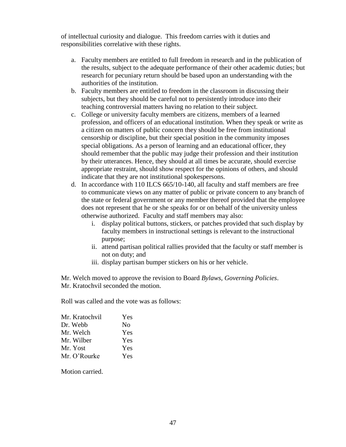of intellectual curiosity and dialogue. This freedom carries with it duties and responsibilities correlative with these rights.

- a. Faculty members are entitled to full freedom in research and in the publication of the results, subject to the adequate performance of their other academic duties; but research for pecuniary return should be based upon an understanding with the authorities of the institution.
- b. Faculty members are entitled to freedom in the classroom in discussing their subjects, but they should be careful not to persistently introduce into their teaching controversial matters having no relation to their subject.
- c. College or university faculty members are citizens, members of a learned profession, and officers of an educational institution. When they speak or write as a citizen on matters of public concern they should be free from institutional censorship or discipline, but their special position in the community imposes special obligations. As a person of learning and an educational officer, they should remember that the public may judge their profession and their institution by their utterances. Hence, they should at all times be accurate, should exercise appropriate restraint, should show respect for the opinions of others, and should indicate that they are not institutional spokespersons.
- d. In accordance with 110 ILCS 665/10-140, all faculty and staff members are free to communicate views on any matter of public or private concern to any branch of the state or federal government or any member thereof provided that the employee does not represent that he or she speaks for or on behalf of the university unless otherwise authorized. Faculty and staff members may also:
	- i. display political buttons, stickers, or patches provided that such display by faculty members in instructional settings is relevant to the instructional purpose;
	- ii. attend partisan political rallies provided that the faculty or staff member is not on duty; and
	- iii. display partisan bumper stickers on his or her vehicle.

Mr. Welch moved to approve the revision to Board *Bylaws, Governing Policies*. Mr. Kratochvil seconded the motion.

Roll was called and the vote was as follows:

| Mr. Kratochvil | Yes        |
|----------------|------------|
| Dr. Webb       | No         |
| Mr. Welch      | Yes        |
| Mr. Wilber     | Yes        |
| Mr. Yost       | Yes        |
| Mr. O'Rourke   | <b>Yes</b> |

Motion carried.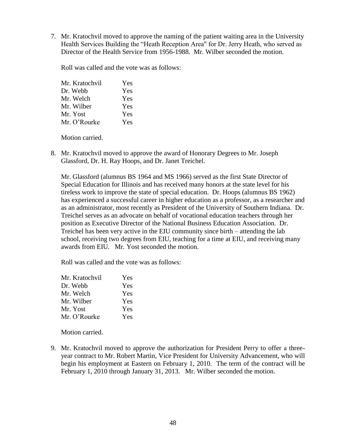7. Mr. Kratochvil moved to approve the naming of the patient waiting area in the University Health Services Building the "Heath Reception Area" for Dr. Jerry Heath, who served as Director of the Health Service from 1956-1988. Mr. Wilber seconded the motion.

Roll was called and the vote was as follows:

| Mr. Kratochvil | Yes |
|----------------|-----|
| Dr. Webb       | Yes |
| Mr. Welch      | Yes |
| Mr. Wilber     | Yes |
| Mr. Yost       | Yes |
| Mr. O'Rourke   | Yes |

Motion carried.

8. Mr. Kratochvil moved to approve the award of Honorary Degrees to Mr. Joseph Glassford, Dr. H. Ray Hoops, and Dr. Janet Treichel.

Mr. Glassford (alumnus BS 1964 and MS 1966) served as the first State Director of Special Education for Illinois and has received many honors at the state level for his tireless work to improve the state of special education. Dr. Hoops (alumnus BS 1962) has experienced a successful career in higher education as a professor, as a researcher and as an administrator, most recently as President of the University of Southern Indiana. Dr. Treichel serves as an advocate on behalf of vocational education teachers through her position as Executive Director of the National Business Education Association. Dr. Treichel has been very active in the EIU community since birth – attending the lab school, receiving two degrees from EIU, teaching for a time at EIU, and receiving many awards from EIU. Mr. Yost seconded the motion.

Roll was called and the vote was as follows:

| Mr. Kratochvil | Yes |
|----------------|-----|
| Dr. Webb       | Yes |
| Mr. Welch      | Yes |
| Mr. Wilber     | Yes |
| Mr. Yost       | Yes |
| Mr. O'Rourke   | Yes |

Motion carried.

9. Mr. Kratochvil moved to approve the authorization for President Perry to offer a threeyear contract to Mr. Robert Martin, Vice President for University Advancement, who will begin his employment at Eastern on February 1, 2010. The term of the contract will be February 1, 2010 through January 31, 2013. Mr. Wilber seconded the motion.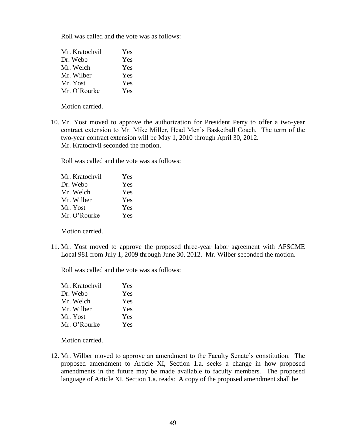Roll was called and the vote was as follows:

| Mr. Kratochvil | Yes |
|----------------|-----|
| Dr. Webb       | Yes |
| Mr. Welch      | Yes |
| Mr. Wilber     | Yes |
| Mr. Yost       | Yes |
| Mr. O'Rourke   | Yes |

Motion carried.

10. Mr. Yost moved to approve the authorization for President Perry to offer a two-year contract extension to Mr. Mike Miller, Head Men's Basketball Coach. The term of the two-year contract extension will be May 1, 2010 through April 30, 2012. Mr. Kratochvil seconded the motion.

Roll was called and the vote was as follows:

| Yes |
|-----|
| Yes |
| Yes |
| Yes |
| Yes |
| Yes |
|     |

Motion carried.

11. Mr. Yost moved to approve the proposed three-year labor agreement with AFSCME Local 981 from July 1, 2009 through June 30, 2012. Mr. Wilber seconded the motion.

Roll was called and the vote was as follows:

| Mr. Kratochvil | Yes |
|----------------|-----|
| Dr. Webb       | Yes |
| Mr. Welch      | Yes |
| Mr. Wilber     | Yes |
| Mr. Yost       | Yes |
| Mr. O'Rourke   | Yes |

Motion carried.

12. Mr. Wilber moved to approve an amendment to the Faculty Senate's constitution. The proposed amendment to Article XI, Section 1.a. seeks a change in how proposed amendments in the future may be made available to faculty members. The proposed language of Article XI, Section 1.a. reads: A copy of the proposed amendment shall be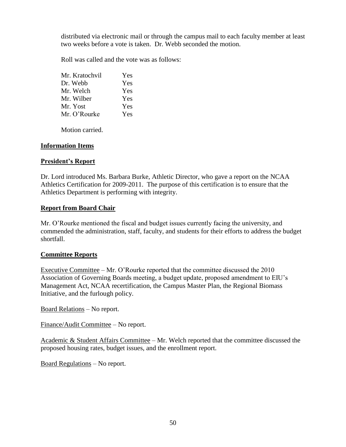distributed via electronic mail or through the campus mail to each faculty member at least two weeks before a vote is taken. Dr. Webb seconded the motion.

Roll was called and the vote was as follows:

| Mr. Kratochvil | Yes |
|----------------|-----|
| Dr. Webb       | Yes |
| Mr. Welch      | Yes |
| Mr. Wilber     | Yes |
| Mr. Yost       | Yes |
| Mr. O'Rourke   | Yes |

Motion carried.

#### **Information Items**

#### **President's Report**

Dr. Lord introduced Ms. Barbara Burke, Athletic Director, who gave a report on the NCAA Athletics Certification for 2009-2011. The purpose of this certification is to ensure that the Athletics Department is performing with integrity.

#### **Report from Board Chair**

Mr. O'Rourke mentioned the fiscal and budget issues currently facing the university, and commended the administration, staff, faculty, and students for their efforts to address the budget shortfall.

### **Committee Reports**

Executive Committee – Mr. O'Rourke reported that the committee discussed the 2010 Association of Governing Boards meeting, a budget update, proposed amendment to EIU's Management Act, NCAA recertification, the Campus Master Plan, the Regional Biomass Initiative, and the furlough policy.

Board Relations – No report.

Finance/Audit Committee – No report.

Academic & Student Affairs Committee – Mr. Welch reported that the committee discussed the proposed housing rates, budget issues, and the enrollment report.

Board Regulations – No report.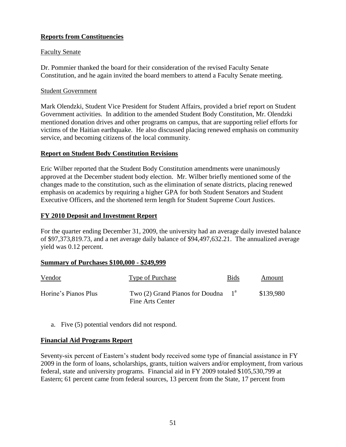## **Reports from Constituencies**

## Faculty Senate

Dr. Pommier thanked the board for their consideration of the revised Faculty Senate Constitution, and he again invited the board members to attend a Faculty Senate meeting.

### Student Government

Mark Olendzki, Student Vice President for Student Affairs, provided a brief report on Student Government activities. In addition to the amended Student Body Constitution, Mr. Olendzki mentioned donation drives and other programs on campus, that are supporting relief efforts for victims of the Haitian earthquake. He also discussed placing renewed emphasis on community service, and becoming citizens of the local community.

## **Report on Student Body Constitution Revisions**

Eric Wilber reported that the Student Body Constitution amendments were unanimously approved at the December student body election. Mr. Wilber briefly mentioned some of the changes made to the constitution, such as the elimination of senate districts, placing renewed emphasis on academics by requiring a higher GPA for both Student Senators and Student Executive Officers, and the shortened term length for Student Supreme Court Justices.

## **FY 2010 Deposit and Investment Report**

For the quarter ending December 31, 2009, the university had an average daily invested balance of \$97,373,819.73, and a net average daily balance of \$94,497,632.21. The annualized average yield was 0.12 percent.

### **Summary of Purchases \$100,000 - \$249,999**

| Vendor               | Type of Purchase                                           | <b>Bids</b> | Amount    |
|----------------------|------------------------------------------------------------|-------------|-----------|
| Horine's Pianos Plus | Two $(2)$ Grand Pianos for Doudna $1a$<br>Fine Arts Center |             | \$139,980 |

a. Five (5) potential vendors did not respond.

## **Financial Aid Programs Report**

Seventy-six percent of Eastern's student body received some type of financial assistance in FY 2009 in the form of loans, scholarships, grants, tuition waivers and/or employment, from various federal, state and university programs. Financial aid in FY 2009 totaled \$105,530,799 at Eastern; 61 percent came from federal sources, 13 percent from the State, 17 percent from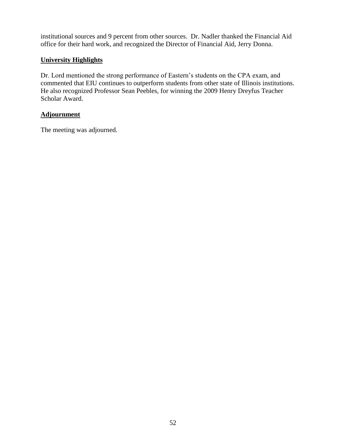institutional sources and 9 percent from other sources. Dr. Nadler thanked the Financial Aid office for their hard work, and recognized the Director of Financial Aid, Jerry Donna.

## **University Highlights**

Dr. Lord mentioned the strong performance of Eastern's students on the CPA exam, and commented that EIU continues to outperform students from other state of Illinois institutions. He also recognized Professor Sean Peebles, for winning the 2009 Henry Dreyfus Teacher Scholar Award.

## **Adjournment**

The meeting was adjourned.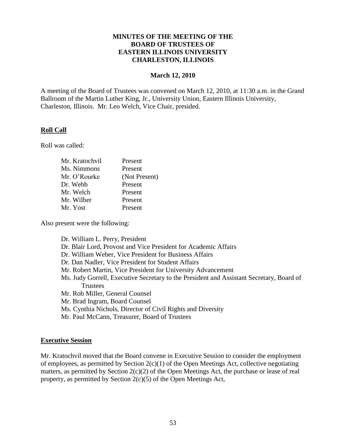### **MINUTES OF THE MEETING OF THE BOARD OF TRUSTEES OF EASTERN ILLINOIS UNIVERSITY CHARLESTON, ILLINOIS**

#### **March 12, 2010**

A meeting of the Board of Trustees was convened on March 12, 2010, at 11:30 a.m. in the Grand Ballroom of the Martin Luther King, Jr., University Union, Eastern Illinois University, Charleston, Illinois. Mr. Leo Welch, Vice Chair, presided.

#### **Roll Call**

Roll was called:

| Mr. Kratochvil | Present       |
|----------------|---------------|
| Ms. Nimmons    | Present       |
| Mr. O'Rourke   | (Not Present) |
| Dr. Webb       | Present       |
| Mr. Welch      | Present       |
| Mr. Wilber     | Present       |
| Mr. Yost       | Present       |
|                |               |

Also present were the following:

Dr. William L. Perry, President Dr. Blair Lord, Provost and Vice President for Academic Affairs Dr. William Weber, Vice President for Business Affairs Dr. Dan Nadler, Vice President for Student Affairs Mr. Robert Martin, Vice President for University Advancement Ms. Judy Gorrell, Executive Secretary to the President and Assistant Secretary, Board of **Trustees** Mr. Rob Miller, General Counsel Mr. Brad Ingram, Board Counsel Ms. Cynthia Nichols, Director of Civil Rights and Diversity Mr. Paul McCann, Treasurer, Board of Trustees

#### **Executive Session**

Mr. Kratochvil moved that the Board convene in Executive Session to consider the employment of employees, as permitted by Section  $2(c)(1)$  of the Open Meetings Act, collective negotiating matters, as permitted by Section 2(c)(2) of the Open Meetings Act, the purchase or lease of real property, as permitted by Section 2(c)(5) of the Open Meetings Act,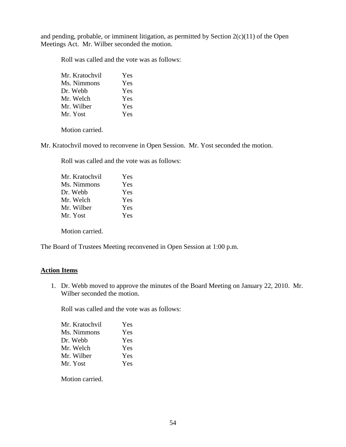and pending, probable, or imminent litigation, as permitted by Section  $2(c)(11)$  of the Open Meetings Act. Mr. Wilber seconded the motion.

Roll was called and the vote was as follows:

| Mr. Kratochvil | Yes |
|----------------|-----|
| Ms. Nimmons    | Yes |
| Dr. Webb       | Yes |
| Mr. Welch      | Yes |
| Mr. Wilber     | Yes |
| Mr. Yost       | Yes |

Motion carried.

Mr. Kratochvil moved to reconvene in Open Session. Mr. Yost seconded the motion.

Roll was called and the vote was as follows:

| Mr. Kratochvil | Yes |
|----------------|-----|
| Ms. Nimmons    | Yes |
| Dr. Webb       | Yes |
| Mr. Welch      | Yes |
| Mr. Wilber     | Yes |
| Mr. Yost       | Yes |
|                |     |

Motion carried.

The Board of Trustees Meeting reconvened in Open Session at 1:00 p.m.

### **Action Items**

1. Dr. Webb moved to approve the minutes of the Board Meeting on January 22, 2010. Mr. Wilber seconded the motion.

Roll was called and the vote was as follows:

| Mr. Kratochvil | Yes |
|----------------|-----|
| Ms. Nimmons    | Yes |
| Dr. Webb       | Yes |
| Mr. Welch      | Yes |
| Mr. Wilber     | Yes |
| Mr. Yost       | Yes |

Motion carried.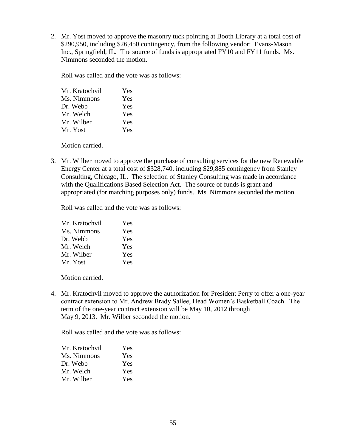2. Mr. Yost moved to approve the masonry tuck pointing at Booth Library at a total cost of \$290,950, including \$26,450 contingency, from the following vendor: Evans-Mason Inc., Springfield, IL. The source of funds is appropriated FY10 and FY11 funds. Ms. Nimmons seconded the motion.

Roll was called and the vote was as follows:

| Yes |
|-----|
| Yes |
| Yes |
| Yes |
| Yes |
| Yes |
|     |

Motion carried.

3. Mr. Wilber moved to approve the purchase of consulting services for the new Renewable Energy Center at a total cost of \$328,740, including \$29,885 contingency from Stanley Consulting, Chicago, IL. The selection of Stanley Consulting was made in accordance with the Qualifications Based Selection Act. The source of funds is grant and appropriated (for matching purposes only) funds. Ms. Nimmons seconded the motion.

Roll was called and the vote was as follows:

| Mr. Kratochvil | Yes |
|----------------|-----|
| Ms. Nimmons    | Yes |
| Dr. Webb       | Yes |
| Mr. Welch      | Yes |
| Mr. Wilber     | Yes |
| Mr. Yost       | Yes |

Motion carried.

4. Mr. Kratochvil moved to approve the authorization for President Perry to offer a one-year contract extension to Mr. Andrew Brady Sallee, Head Women's Basketball Coach. The term of the one-year contract extension will be May 10, 2012 through May 9, 2013. Mr. Wilber seconded the motion.

Roll was called and the vote was as follows:

| Mr. Kratochvil | Yes        |
|----------------|------------|
| Ms. Nimmons    | Yes        |
| Dr. Webb       | <b>Yes</b> |
| Mr. Welch      | <b>Yes</b> |
| Mr. Wilber     | Yes        |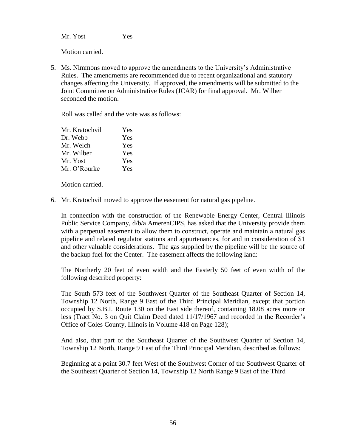Mr. Yost Yes

Motion carried.

5. Ms. Nimmons moved to approve the amendments to the University's Administrative Rules. The amendments are recommended due to recent organizational and statutory changes affecting the University. If approved, the amendments will be submitted to the Joint Committee on Administrative Rules (JCAR) for final approval. Mr. Wilber seconded the motion.

Roll was called and the vote was as follows:

| Mr. Kratochvil | Yes |
|----------------|-----|
| Dr. Webb       | Yes |
| Mr. Welch      | Yes |
| Mr. Wilber     | Yes |
| Mr. Yost       | Yes |
| Mr. O'Rourke   | Yes |

Motion carried.

6. Mr. Kratochvil moved to approve the easement for natural gas pipeline.

In connection with the construction of the Renewable Energy Center, Central Illinois Public Service Company, d/b/a AmerenCIPS, has asked that the University provide them with a perpetual easement to allow them to construct, operate and maintain a natural gas pipeline and related regulator stations and appurtenances, for and in consideration of \$1 and other valuable considerations. The gas supplied by the pipeline will be the source of the backup fuel for the Center. The easement affects the following land:

The Northerly 20 feet of even width and the Easterly 50 feet of even width of the following described property:

The South 573 feet of the Southwest Quarter of the Southeast Quarter of Section 14, Township 12 North, Range 9 East of the Third Principal Meridian, except that portion occupied by S.B.I. Route 130 on the East side thereof, containing 18.08 acres more or less (Tract No. 3 on Quit Claim Deed dated 11/17/1967 and recorded in the Recorder's Office of Coles County, Illinois in Volume 418 on Page 128);

And also, that part of the Southeast Quarter of the Southwest Quarter of Section 14, Township 12 North, Range 9 East of the Third Principal Meridian, described as follows:

Beginning at a point 30.7 feet West of the Southwest Corner of the Southwest Quarter of the Southeast Quarter of Section 14, Township 12 North Range 9 East of the Third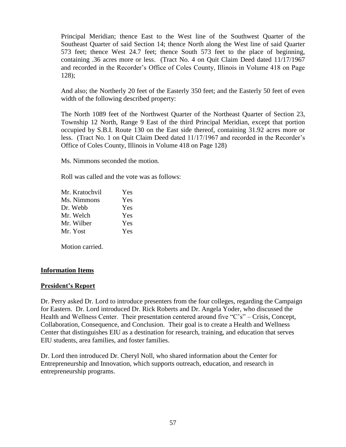Principal Meridian; thence East to the West line of the Southwest Quarter of the Southeast Quarter of said Section 14; thence North along the West line of said Quarter 573 feet; thence West 24.7 feet; thence South 573 feet to the place of beginning, containing .36 acres more or less. (Tract No. 4 on Quit Claim Deed dated 11/17/1967 and recorded in the Recorder's Office of Coles County, Illinois in Volume 418 on Page 128);

And also; the Northerly 20 feet of the Easterly 350 feet; and the Easterly 50 feet of even width of the following described property:

The North 1089 feet of the Northwest Quarter of the Northeast Quarter of Section 23, Township 12 North, Range 9 East of the third Principal Meridian, except that portion occupied by S.B.I. Route 130 on the East side thereof, containing 31.92 acres more or less. (Tract No. 1 on Quit Claim Deed dated 11/17/1967 and recorded in the Recorder's Office of Coles County, Illinois in Volume 418 on Page 128)

Ms. Nimmons seconded the motion.

Roll was called and the vote was as follows:

| Mr. Kratochvil | Yes |
|----------------|-----|
| Ms. Nimmons    | Yes |
| Dr. Webb       | Yes |
| Mr. Welch      | Yes |
| Mr. Wilber     | Yes |
| Mr. Yost       | Yes |

Motion carried.

### **Information Items**

#### **President's Report**

Dr. Perry asked Dr. Lord to introduce presenters from the four colleges, regarding the Campaign for Eastern. Dr. Lord introduced Dr. Rick Roberts and Dr. Angela Yoder, who discussed the Health and Wellness Center. Their presentation centered around five "C's" – Crisis, Concept, Collaboration, Consequence, and Conclusion. Their goal is to create a Health and Wellness Center that distinguishes EIU as a destination for research, training, and education that serves EIU students, area families, and foster families.

Dr. Lord then introduced Dr. Cheryl Noll, who shared information about the Center for Entrepreneurship and Innovation, which supports outreach, education, and research in entrepreneurship programs.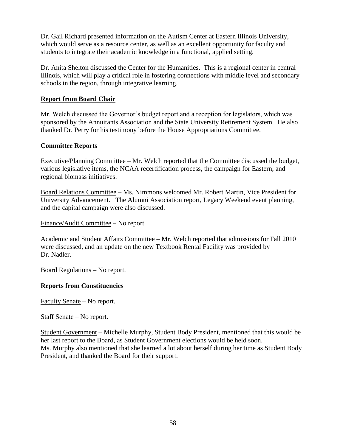Dr. Gail Richard presented information on the Autism Center at Eastern Illinois University, which would serve as a resource center, as well as an excellent opportunity for faculty and students to integrate their academic knowledge in a functional, applied setting.

Dr. Anita Shelton discussed the Center for the Humanities. This is a regional center in central Illinois, which will play a critical role in fostering connections with middle level and secondary schools in the region, through integrative learning.

## **Report from Board Chair**

Mr. Welch discussed the Governor's budget report and a reception for legislators, which was sponsored by the Annuitants Association and the State University Retirement System. He also thanked Dr. Perry for his testimony before the House Appropriations Committee.

### **Committee Reports**

Executive/Planning Committee – Mr. Welch reported that the Committee discussed the budget, various legislative items, the NCAA recertification process, the campaign for Eastern, and regional biomass initiatives.

Board Relations Committee – Ms. Nimmons welcomed Mr. Robert Martin, Vice President for University Advancement. The Alumni Association report, Legacy Weekend event planning, and the capital campaign were also discussed.

Finance/Audit Committee – No report.

Academic and Student Affairs Committee – Mr. Welch reported that admissions for Fall 2010 were discussed, and an update on the new Textbook Rental Facility was provided by Dr. Nadler.

Board Regulations – No report.

## **Reports from Constituencies**

Faculty Senate – No report.

Staff Senate – No report.

Student Government – Michelle Murphy, Student Body President, mentioned that this would be her last report to the Board, as Student Government elections would be held soon. Ms. Murphy also mentioned that she learned a lot about herself during her time as Student Body President, and thanked the Board for their support.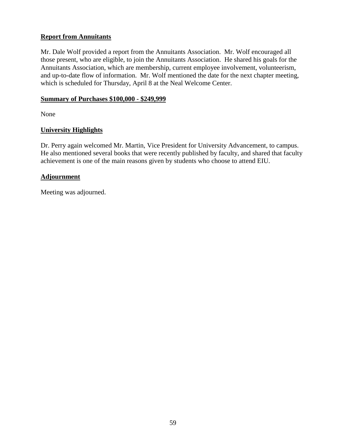## **Report from Annuitants**

Mr. Dale Wolf provided a report from the Annuitants Association. Mr. Wolf encouraged all those present, who are eligible, to join the Annuitants Association. He shared his goals for the Annuitants Association, which are membership, current employee involvement, volunteerism, and up-to-date flow of information. Mr. Wolf mentioned the date for the next chapter meeting, which is scheduled for Thursday, April 8 at the Neal Welcome Center.

## **Summary of Purchases \$100,000 - \$249,999**

None

## **University Highlights**

Dr. Perry again welcomed Mr. Martin, Vice President for University Advancement, to campus. He also mentioned several books that were recently published by faculty, and shared that faculty achievement is one of the main reasons given by students who choose to attend EIU.

## **Adjournment**

Meeting was adjourned.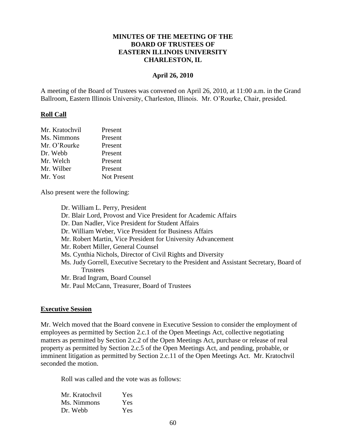### **MINUTES OF THE MEETING OF THE BOARD OF TRUSTEES OF EASTERN ILLINOIS UNIVERSITY CHARLESTON, IL**

#### **April 26, 2010**

A meeting of the Board of Trustees was convened on April 26, 2010, at 11:00 a.m. in the Grand Ballroom, Eastern Illinois University, Charleston, Illinois. Mr. O'Rourke, Chair, presided.

#### **Roll Call**

| Mr. Kratochvil | Present            |
|----------------|--------------------|
| Ms. Nimmons    | Present            |
| Mr. O'Rourke   | Present            |
| Dr. Webb       | Present            |
| Mr. Welch      | Present            |
| Mr. Wilber     | Present            |
| Mr. Yost       | <b>Not Present</b> |

Also present were the following:

Dr. William L. Perry, President Dr. Blair Lord, Provost and Vice President for Academic Affairs Dr. Dan Nadler, Vice President for Student Affairs Dr. William Weber, Vice President for Business Affairs Mr. Robert Martin, Vice President for University Advancement Mr. Robert Miller, General Counsel Ms. Cynthia Nichols, Director of Civil Rights and Diversity Ms. Judy Gorrell, Executive Secretary to the President and Assistant Secretary, Board of **Trustees** Mr. Brad Ingram, Board Counsel Mr. Paul McCann, Treasurer, Board of Trustees

#### **Executive Session**

Mr. Welch moved that the Board convene in Executive Session to consider the employment of employees as permitted by Section 2.c.1 of the Open Meetings Act, collective negotiating matters as permitted by Section 2.c.2 of the Open Meetings Act, purchase or release of real property as permitted by Section 2.c.5 of the Open Meetings Act, and pending, probable, or imminent litigation as permitted by Section 2.c.11 of the Open Meetings Act. Mr. Kratochvil seconded the motion.

Roll was called and the vote was as follows:

| Mr. Kratochvil | Yes |
|----------------|-----|
| Ms. Nimmons    | Yes |
| Dr. Webb       | Yes |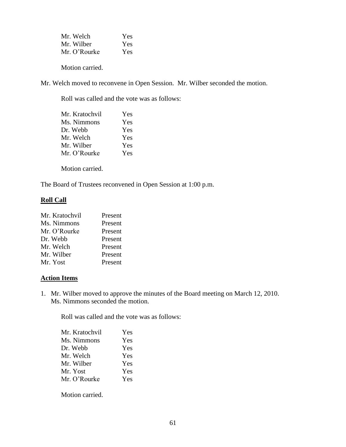| Mr. Welch    | Yes |
|--------------|-----|
| Mr. Wilber   | Yes |
| Mr. O'Rourke | Yes |

Motion carried.

Mr. Welch moved to reconvene in Open Session. Mr. Wilber seconded the motion.

Roll was called and the vote was as follows:

| Mr. Kratochvil | Yes        |
|----------------|------------|
| Ms. Nimmons    | Yes        |
| Dr. Webb       | Yes        |
| Mr. Welch      | Yes        |
| Mr. Wilber     | <b>Yes</b> |
| Mr. O'Rourke   | Yes        |
|                |            |

Motion carried.

The Board of Trustees reconvened in Open Session at 1:00 p.m.

### **Roll Call**

| Mr. Kratochvil | Present |
|----------------|---------|
| Ms. Nimmons    | Present |
| Mr. O'Rourke   | Present |
| Dr. Webb       | Present |
| Mr. Welch      | Present |
| Mr. Wilber     | Present |
| Mr. Yost       | Present |

## **Action Items**

1. Mr. Wilber moved to approve the minutes of the Board meeting on March 12, 2010. Ms. Nimmons seconded the motion.

Roll was called and the vote was as follows:

| Mr. Kratochvil | Yes |
|----------------|-----|
| Ms. Nimmons    | Yes |
| Dr. Webb       | Yes |
| Mr. Welch      | Yes |
| Mr. Wilber     | Yes |
| Mr. Yost       | Yes |
| Mr. O'Rourke   | Yes |
|                |     |

Motion carried.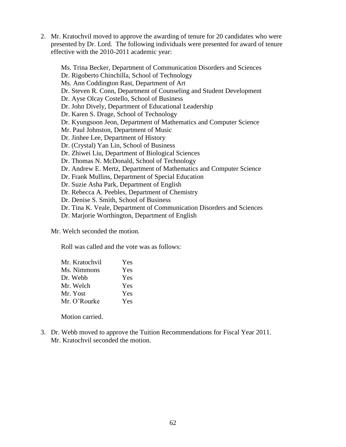2. Mr. Kratochvil moved to approve the awarding of tenure for 20 candidates who were presented by Dr. Lord. The following individuals were presented for award of tenure effective with the 2010-2011 academic year:

Ms. Trina Becker, Department of Communication Disorders and Sciences Dr. Rigoberto Chinchilla, School of Technology Ms. Ann Coddington Rast, Department of Art Dr. Steven R. Conn, Department of Counseling and Student Development Dr. Ayse Olcay Costello, School of Business Dr. John Dively, Department of Educational Leadership Dr. Karen S. Drage, School of Technology Dr. Kyungsoon Jeon, Department of Mathematics and Computer Science Mr. Paul Johnston, Department of Music Dr. Jinhee Lee, Department of History Dr. (Crystal) Yan Lin, School of Business Dr. Zhiwei Liu, Department of Biological Sciences Dr. Thomas N. McDonald, School of Technology Dr. Andrew E. Mertz, Department of Mathematics and Computer Science Dr. Frank Mullins, Department of Special Education Dr. Suzie Asha Park, Department of English Dr. Rebecca A. Peebles, Department of Chemistry Dr. Denise S. Smith, School of Business Dr. Tina K. Veale, Department of Communication Disorders and Sciences Dr. Marjorie Worthington, Department of English

Mr. Welch seconded the motion.

Roll was called and the vote was as follows:

| Mr. Kratochvil | Yes |
|----------------|-----|
| Ms. Nimmons    | Yes |
| Dr. Webb       | Yes |
| Mr. Welch      | Yes |
| Mr. Yost       | Yes |
| Mr. O'Rourke   | Yes |

Motion carried.

3. Dr. Webb moved to approve the Tuition Recommendations for Fiscal Year 2011. Mr. Kratochvil seconded the motion.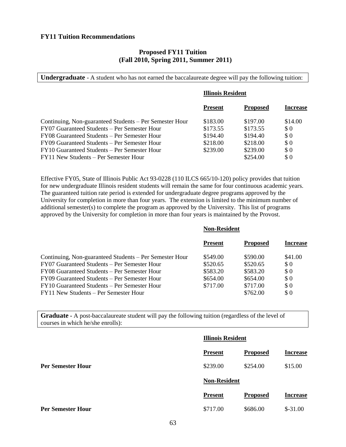#### **FY11 Tuition Recommendations**

#### **Proposed FY11 Tuition (Fall 2010, Spring 2011, Summer 2011)**

**Undergraduate** - A student who has not earned the baccalaureate degree will pay the following tuition:

| <b>Illinois Resident</b> |                 |                 |
|--------------------------|-----------------|-----------------|
| <b>Present</b>           | <b>Proposed</b> | <b>Increase</b> |
| \$183.00                 | \$197.00        | \$14.00         |
| \$173.55                 | \$173.55        | \$0             |
| \$194.40                 | \$194.40        | \$0             |
| \$218.00                 | \$218.00        | \$0             |
| \$239.00                 | \$239.00        | \$0             |
|                          | \$254.00        | \$0             |
|                          |                 |                 |

Effective FY05, State of Illinois Public Act 93-0228 (110 ILCS 665/10-120) policy provides that tuition for new undergraduate Illinois resident students will remain the same for four continuous academic years. The guaranteed tuition rate period is extended for undergraduate degree programs approved by the University for completion in more than four years. The extension is limited to the minimum number of additional semester(s) to complete the program as approved by the University. This list of programs approved by the University for completion in more than four years is maintained by the Provost.

|                                                         | <b>Non-Resident</b> |                 |                 |
|---------------------------------------------------------|---------------------|-----------------|-----------------|
|                                                         | <b>Present</b>      | <b>Proposed</b> | <b>Increase</b> |
| Continuing, Non-guaranteed Students – Per Semester Hour | \$549.00            | \$590.00        | \$41.00         |
| FY07 Guaranteed Students – Per Semester Hour            | \$520.65            | \$520.65        | \$0             |
| FY08 Guaranteed Students – Per Semester Hour            | \$583.20            | \$583.20        | \$0             |
| FY09 Guaranteed Students – Per Semester Hour            | \$654.00            | \$654.00        | \$0             |
| FY10 Guaranteed Students – Per Semester Hour            | \$717.00            | \$717.00        | \$0             |
| FY11 New Students – Per Semester Hour                   |                     | \$762.00        | $\Omega$        |
|                                                         |                     |                 |                 |

**Graduate -** A post-baccalaureate student will pay the following tuition (regardless of the level of courses in which he/she enrolls):

|                          | <b>Illinois Resident</b> |                 |                 |
|--------------------------|--------------------------|-----------------|-----------------|
|                          | <b>Present</b>           | <b>Proposed</b> | <b>Increase</b> |
| <b>Per Semester Hour</b> | \$239.00                 | \$254.00        | \$15.00         |
|                          | <b>Non-Resident</b>      |                 |                 |
|                          | <b>Present</b>           | <b>Proposed</b> | <b>Increase</b> |
| <b>Per Semester Hour</b> | \$717.00                 | \$686.00        | $$-31.00$       |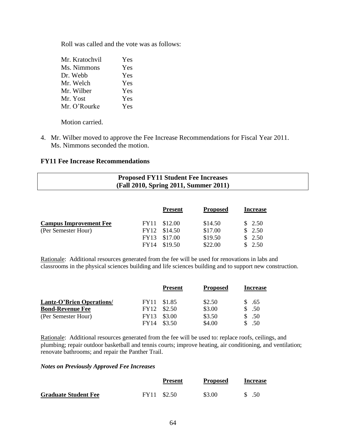Roll was called and the vote was as follows:

| Mr. Kratochvil | Yes |
|----------------|-----|
| Ms. Nimmons    | Yes |
| Dr. Webb       | Yes |
| Mr. Welch      | Yes |
| Mr. Wilber     | Yes |
| Mr. Yost       | Yes |
| Mr. O'Rourke   | Yes |

Motion carried.

4. Mr. Wilber moved to approve the Fee Increase Recommendations for Fiscal Year 2011. Ms. Nimmons seconded the motion.

### **FY11 Fee Increase Recommendations**

# **Proposed FY11 Student Fee Increases (Fall 2010, Spring 2011, Summer 2011)**

|                               |             | <b>Present</b> | <b>Proposed</b> | <b>Increase</b> |
|-------------------------------|-------------|----------------|-----------------|-----------------|
| <b>Campus Improvement Fee</b> |             | FY11 \$12.00   | \$14.50         | \$2.50          |
| (Per Semester Hour)           |             | FY12 \$14.50   | \$17.00         | \$2.50          |
|                               |             | FY13 \$17.00   | \$19.50         | \$2.50          |
|                               | <b>FY14</b> | \$19.50        | \$22.00         | 2.50            |

Rationale: Additional resources generated from the fee will be used for renovations in labs and classrooms in the physical sciences building and life sciences building and to support new construction.

|                                  |             | <b>Present</b> | <b>Proposed</b> | <b>Increase</b> |
|----------------------------------|-------------|----------------|-----------------|-----------------|
| <b>Lantz-O'Brien Operations/</b> |             | FY11 \$1.85    | \$2.50          | \$.65           |
| <b>Bond-Revenue Fee</b>          | FY12        | \$2.50         | \$3.00          | \$.50           |
| (Per Semester Hour)              | <b>FY13</b> | \$3.00         | \$3.50          | \$.50           |
|                                  | <b>FY14</b> | \$3.50         | \$4.00          | .50             |

Rationale: Additional resources generated from the fee will be used to: replace roofs, ceilings, and plumbing; repair outdoor basketball and tennis courts; improve heating, air conditioning, and ventilation; renovate bathrooms; and repair the Panther Trail.

#### *Notes on Previously Approved Fee Increases*

|                             | <b>Present</b> | <b>Proposed</b> | <b>Increase</b> |
|-----------------------------|----------------|-----------------|-----------------|
| <b>Graduate Student Fee</b> | FY11 \$2.50    | \$3.00          | .50             |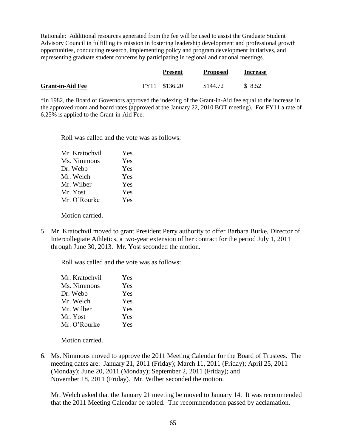Rationale: Additional resources generated from the fee will be used to assist the Graduate Student Advisory Council in fulfilling its mission in fostering leadership development and professional growth opportunities, conducting research, implementing policy and program development initiatives, and representing graduate student concerns by participating in regional and national meetings.

|                         | <b>Present</b> | <b>Proposed</b> | <b>Increase</b> |
|-------------------------|----------------|-----------------|-----------------|
| <b>Grant-in-Aid Fee</b> | FY11 \$136.20  | \$144.72        | \$8.52          |

\*In 1982, the Board of Governors approved the indexing of the Grant-in-Aid fee equal to the increase in the approved room and board rates (approved at the January 22, 2010 BOT meeting). For FY11 a rate of 6.25% is applied to the Grant-in-Aid Fee.

Roll was called and the vote was as follows:

| Mr. Kratochvil | Yes |
|----------------|-----|
| Ms. Nimmons    | Yes |
| Dr. Webb       | Yes |
| Mr. Welch      | Yes |
| Mr. Wilber     | Yes |
| Mr. Yost       | Yes |
| Mr. O'Rourke   | Yes |
|                |     |

Motion carried.

5. Mr. Kratochvil moved to grant President Perry authority to offer Barbara Burke, Director of Intercollegiate Athletics, a two-year extension of her contract for the period July 1, 2011 through June 30, 2013. Mr. Yost seconded the motion.

Roll was called and the vote was as follows:

| Mr. Kratochvil | Yes |
|----------------|-----|
| Ms. Nimmons    | Yes |
| Dr. Webb       | Yes |
| Mr. Welch      | Yes |
| Mr. Wilber     | Yes |
| Mr. Yost       | Yes |
| Mr. O'Rourke   | Yes |

Motion carried.

6. Ms. Nimmons moved to approve the 2011 Meeting Calendar for the Board of Trustees. The meeting dates are: January 21, 2011 (Friday); March 11, 2011 (Friday); April 25, 2011 (Monday); June 20, 2011 (Monday); September 2, 2011 (Friday); and November 18, 2011 (Friday). Mr. Wilber seconded the motion.

Mr. Welch asked that the January 21 meeting be moved to January 14. It was recommended that the 2011 Meeting Calendar be tabled. The recommendation passed by acclamation.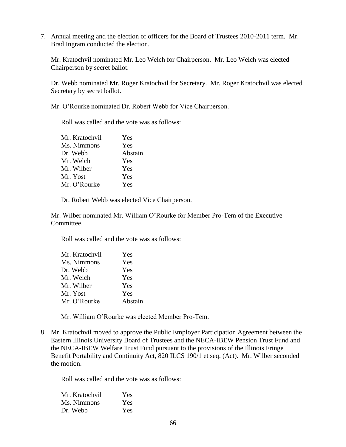7. Annual meeting and the election of officers for the Board of Trustees 2010-2011 term. Mr. Brad Ingram conducted the election.

Mr. Kratochvil nominated Mr. Leo Welch for Chairperson. Mr. Leo Welch was elected Chairperson by secret ballot.

Dr. Webb nominated Mr. Roger Kratochvil for Secretary. Mr. Roger Kratochvil was elected Secretary by secret ballot.

Mr. O'Rourke nominated Dr. Robert Webb for Vice Chairperson.

Roll was called and the vote was as follows:

| Mr. Kratochvil | Yes     |
|----------------|---------|
| Ms. Nimmons    | Yes     |
| Dr. Webb       | Abstain |
| Mr. Welch      | Yes     |
| Mr. Wilber     | Yes     |
| Mr. Yost       | Yes     |
| Mr. O'Rourke   | Yes     |
|                |         |

Dr. Robert Webb was elected Vice Chairperson.

Mr. Wilber nominated Mr. William O'Rourke for Member Pro-Tem of the Executive Committee.

Roll was called and the vote was as follows:

| Mr. Kratochvil | Yes     |
|----------------|---------|
| Ms. Nimmons    | Yes     |
| Dr. Webb       | Yes     |
| Mr. Welch      | Yes     |
| Mr. Wilber     | Yes     |
| Mr. Yost       | Yes     |
| Mr. O'Rourke   | Abstain |

Mr. William O'Rourke was elected Member Pro-Tem.

8. Mr. Kratochvil moved to approve the Public Employer Participation Agreement between the Eastern Illinois University Board of Trustees and the NECA-IBEW Pension Trust Fund and the NECA-IBEW Welfare Trust Fund pursuant to the provisions of the Illinois Fringe Benefit Portability and Continuity Act, 820 ILCS 190/1 et seq. (Act). Mr. Wilber seconded the motion.

Roll was called and the vote was as follows:

| Mr. Kratochvil | Yes |
|----------------|-----|
| Ms. Nimmons    | Yes |
| Dr. Webb       | Yes |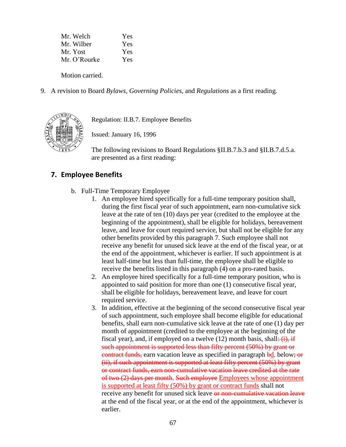| Yes |
|-----|
| Yes |
| Yes |
| Yes |
|     |

Motion carried.

9. A revision to Board *Bylaws, Governing Policies*, and *Regulations* as a first reading.



Regulation: II.B.7. Employee Benefits

Issued: January 16, 1996

The following revisions to Board Regulations §II.B.7.b.3 and §II.B.7.d.5.a. are presented as a first reading:

# **7. Employee Benefits**

- b. Full-Time Temporary Employee
	- 1. An employee hired specifically for a full-time temporary position shall, during the first fiscal year of such appointment, earn non-cumulative sick leave at the rate of ten (10) days per year (credited to the employee at the beginning of the appointment), shall be eligible for holidays, bereavement leave, and leave for court required service, but shall not be eligible for any other benefits provided by this paragraph 7. Such employee shall not receive any benefit for unused sick leave at the end of the fiscal year, or at the end of the appointment, whichever is earlier. If such appointment is at least half-time but less than full-time, the employee shall be eligible to receive the benefits listed in this paragraph (4) on a pro-rated basis.
	- 2. An employee hired specifically for a full-time temporary position, who is appointed to said position for more than one (1) consecutive fiscal year, shall be eligible for holidays, bereavement leave, and leave for court required service.
	- 3. In addition, effective at the beginning of the second consecutive fiscal year of such appointment, such employee shall become eligible for educational benefits, shall earn non-cumulative sick leave at the rate of one (1) day per month of appointment (credited to the employee at the beginning of the fiscal year), and, if employed on a twelve  $(12)$  month basis, shall:  $(i)$ , if such appointment is supported less than fifty percent (50%) by grant or contract funds, earn vacation leave as specified in paragraph bd. below; or (ii), if such appointment is supported at least fifty percent (50%) by grant or contract funds, earn non-cumulative vacation leave credited at the rate of two (2) days per month. Such employee Employees whose appointment is supported at least fifty (50%) by grant or contract funds shall not receive any benefit for unused sick leave or non-cumulative vacation leave at the end of the fiscal year, or at the end of the appointment, whichever is earlier.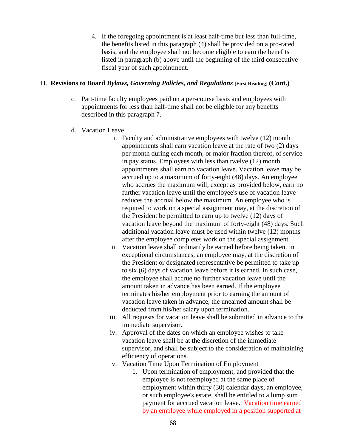4. If the foregoing appointment is at least half-time but less than full-time, the benefits listed in this paragraph (4) shall be provided on a pro-rated basis, and the employee shall not become eligible to earn the benefits listed in paragraph (b) above until the beginning of the third consecutive fiscal year of such appointment.

### H. **Revisions to Board** *Bylaws, Governing Policies, and Regulations* **[First Reading] (Cont.)**

- c. Part-time faculty employees paid on a per-course basis and employees with appointments for less than half-time shall not be eligible for any benefits described in this paragraph 7.
- d. Vacation Leave
	- i. Faculty and administrative employees with twelve (12) month appointments shall earn vacation leave at the rate of two (2) days per month during each month, or major fraction thereof, of service in pay status. Employees with less than twelve (12) month appointments shall earn no vacation leave. Vacation leave may be accrued up to a maximum of forty-eight (48) days. An employee who accrues the maximum will, except as provided below, earn no further vacation leave until the employee's use of vacation leave reduces the accrual below the maximum. An employee who is required to work on a special assignment may, at the discretion of the President be permitted to earn up to twelve (12) days of vacation leave beyond the maximum of forty-eight (48) days. Such additional vacation leave must be used within twelve (12) months after the employee completes work on the special assignment.
	- ii. Vacation leave shall ordinarily be earned before being taken. In exceptional circumstances, an employee may, at the discretion of the President or designated representative be permitted to take up to six (6) days of vacation leave before it is earned. In such case, the employee shall accrue no further vacation leave until the amount taken in advance has been earned. If the employee terminates his/her employment prior to earning the amount of vacation leave taken in advance, the unearned amount shall be deducted from his/her salary upon termination.
	- iii. All requests for vacation leave shall be submitted in advance to the immediate supervisor.
	- iv. Approval of the dates on which an employee wishes to take vacation leave shall be at the discretion of the immediate supervisor, and shall be subject to the consideration of maintaining efficiency of operations.
	- v. Vacation Time Upon Termination of Employment
		- 1. Upon termination of employment, and provided that the employee is not reemployed at the same place of employment within thirty (30) calendar days, an employee, or such employee's estate, shall be entitled to a lump sum payment for accrued vacation leave. Vacation time earned by an employee while employed in a position supported at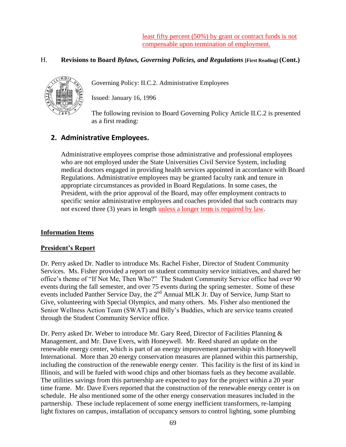least fifty percent (50%) by grant or contract funds is not compensable upon termination of employment.

## H. **Revisions to Board** *Bylaws, Governing Policies, and Regulations* **[First Reading] (Cont.)**



Governing Policy: II.C.2. Administrative Employees

Issued: January 16, 1996

The following revision to Board Governing Policy Article II.C.2 is presented as a first reading:

# **2. Administrative Employees.**

Administrative employees comprise those administrative and professional employees who are not employed under the State Universities Civil Service System, including medical doctors engaged in providing health services appointed in accordance with Board Regulations. Administrative employees may be granted faculty rank and tenure in appropriate circumstances as provided in Board Regulations. In some cases, the President, with the prior approval of the Board, may offer employment contracts to specific senior administrative employees and coaches provided that such contracts may not exceed three (3) years in length unless a longer term is required by law.

## **Information Items**

### **President's Report**

Dr. Perry asked Dr. Nadler to introduce Ms. Rachel Fisher, Director of Student Community Services. Ms. Fisher provided a report on student community service initiatives, and shared her office's theme of "If Not Me, Then Who?" The Student Community Service office had over 90 events during the fall semester, and over 75 events during the spring semester. Some of these events included Panther Service Day, the 2<sup>nd</sup> Annual MLK Jr. Day of Service, Jump Start to Give, volunteering with Special Olympics, and many others. Ms. Fisher also mentioned the Senior Wellness Action Team (SWAT) and Billy's Buddies, which are service teams created through the Student Community Service office.

Dr. Perry asked Dr. Weber to introduce Mr. Gary Reed, Director of Facilities Planning & Management, and Mr. Dave Evers, with Honeywell. Mr. Reed shared an update on the renewable energy center, which is part of an energy improvement partnership with Honeywell International. More than 20 energy conservation measures are planned within this partnership, including the construction of the renewable energy center. This facility is the first of its kind in Illinois, and will be fueled with wood chips and other biomass fuels as they become available. The utilities savings from this partnership are expected to pay for the project within a 20 year time frame. Mr. Dave Evers reported that the construction of the renewable energy center is on schedule. He also mentioned some of the other energy conservation measures included in the partnership. These include replacement of some energy inefficient transformers, re-lamping light fixtures on campus, installation of occupancy sensors to control lighting, some plumbing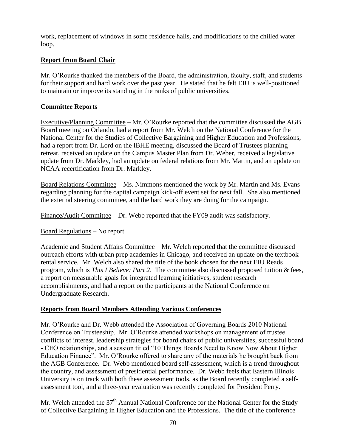work, replacement of windows in some residence halls, and modifications to the chilled water loop.

## **Report from Board Chair**

Mr. O'Rourke thanked the members of the Board, the administration, faculty, staff, and students for their support and hard work over the past year. He stated that he felt EIU is well-positioned to maintain or improve its standing in the ranks of public universities.

## **Committee Reports**

Executive/Planning Committee – Mr. O'Rourke reported that the committee discussed the AGB Board meeting on Orlando, had a report from Mr. Welch on the National Conference for the National Center for the Studies of Collective Bargaining and Higher Education and Professions, had a report from Dr. Lord on the IBHE meeting, discussed the Board of Trustees planning retreat, received an update on the Campus Master Plan from Dr. Weber, received a legislative update from Dr. Markley, had an update on federal relations from Mr. Martin, and an update on NCAA recertification from Dr. Markley.

Board Relations Committee – Ms. Nimmons mentioned the work by Mr. Martin and Ms. Evans regarding planning for the capital campaign kick-off event set for next fall. She also mentioned the external steering committee, and the hard work they are doing for the campaign.

Finance/Audit Committee – Dr. Webb reported that the FY09 audit was satisfactory.

Board Regulations – No report.

Academic and Student Affairs Committee – Mr. Welch reported that the committee discussed outreach efforts with urban prep academies in Chicago, and received an update on the textbook rental service. Mr. Welch also shared the title of the book chosen for the next EIU Reads program, which is *This I Believe: Part 2*. The committee also discussed proposed tuition & fees, a report on measurable goals for integrated learning initiatives, student research accomplishments, and had a report on the participants at the National Conference on Undergraduate Research.

## **Reports from Board Members Attending Various Conferences**

Mr. O'Rourke and Dr. Webb attended the Association of Governing Boards 2010 National Conference on Trusteeship. Mr. O'Rourke attended workshops on management of trustee conflicts of interest, leadership strategies for board chairs of public universities, successful board - CEO relationships, and a session titled "10 Things Boards Need to Know Now About Higher Education Finance". Mr. O'Rourke offered to share any of the materials he brought back from the AGB Conference. Dr. Webb mentioned board self-assessment, which is a trend throughout the country, and assessment of presidential performance. Dr. Webb feels that Eastern Illinois University is on track with both these assessment tools, as the Board recently completed a selfassessment tool, and a three-year evaluation was recently completed for President Perry.

Mr. Welch attended the 37<sup>th</sup> Annual National Conference for the National Center for the Study of Collective Bargaining in Higher Education and the Professions. The title of the conference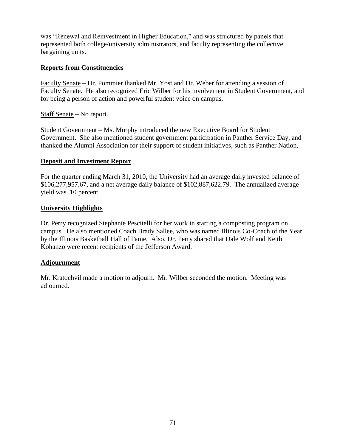was "Renewal and Reinvestment in Higher Education," and was structured by panels that represented both college/university administrators, and faculty representing the collective bargaining units.

## **Reports from Constituencies**

Faculty Senate – Dr. Pommier thanked Mr. Yost and Dr. Weber for attending a session of Faculty Senate. He also recognized Eric Wilber for his involvement in Student Government, and for being a person of action and powerful student voice on campus.

Staff Senate – No report.

Student Government – Ms. Murphy introduced the new Executive Board for Student Government. She also mentioned student government participation in Panther Service Day, and thanked the Alumni Association for their support of student initiatives, such as Panther Nation.

## **Deposit and Investment Report**

For the quarter ending March 31, 2010, the University had an average daily invested balance of \$106,277,957.67, and a net average daily balance of \$102,887,622.79. The annualized average yield was .10 percent.

## **University Highlights**

Dr. Perry recognized Stephanie Pescitelli for her work in starting a composting program on campus. He also mentioned Coach Brady Sallee, who was named Illinois Co-Coach of the Year by the Illinois Basketball Hall of Fame. Also, Dr. Perry shared that Dale Wolf and Keith Kohanzo were recent recipients of the Jefferson Award.

## **Adjournment**

Mr. Kratochvil made a motion to adjourn. Mr. Wilber seconded the motion. Meeting was adjourned.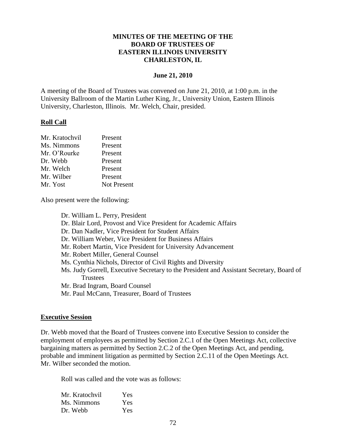### **MINUTES OF THE MEETING OF THE BOARD OF TRUSTEES OF EASTERN ILLINOIS UNIVERSITY CHARLESTON, IL**

#### **June 21, 2010**

A meeting of the Board of Trustees was convened on June 21, 2010, at 1:00 p.m. in the University Ballroom of the Martin Luther King, Jr., University Union, Eastern Illinois University, Charleston, Illinois. Mr. Welch, Chair, presided.

#### **Roll Call**

| Present            |
|--------------------|
| Present            |
| Present            |
| Present            |
| Present            |
| Present            |
| <b>Not Present</b> |
|                    |

Also present were the following:

Dr. William L. Perry, President Dr. Blair Lord, Provost and Vice President for Academic Affairs Dr. Dan Nadler, Vice President for Student Affairs Dr. William Weber, Vice President for Business Affairs Mr. Robert Martin, Vice President for University Advancement Mr. Robert Miller, General Counsel Ms. Cynthia Nichols, Director of Civil Rights and Diversity Ms. Judy Gorrell, Executive Secretary to the President and Assistant Secretary, Board of **Trustees** Mr. Brad Ingram, Board Counsel Mr. Paul McCann, Treasurer, Board of Trustees

#### **Executive Session**

Dr. Webb moved that the Board of Trustees convene into Executive Session to consider the employment of employees as permitted by Section 2.C.1 of the Open Meetings Act, collective bargaining matters as permitted by Section 2.C.2 of the Open Meetings Act, and pending, probable and imminent litigation as permitted by Section 2.C.11 of the Open Meetings Act. Mr. Wilber seconded the motion.

Roll was called and the vote was as follows:

| Mr. Kratochvil | Yes |
|----------------|-----|
| Ms. Nimmons    | Yes |
| Dr. Webb       | Yes |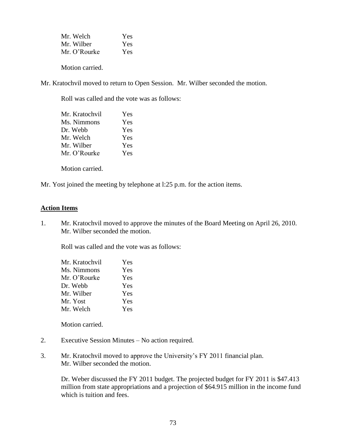| Mr. Welch    | Yes |
|--------------|-----|
| Mr. Wilber   | Yes |
| Mr. O'Rourke | Yes |

Motion carried.

Mr. Kratochvil moved to return to Open Session. Mr. Wilber seconded the motion.

Roll was called and the vote was as follows:

| Mr. Kratochvil | Yes        |
|----------------|------------|
| Ms. Nimmons    | Yes        |
| Dr. Webb       | <b>Yes</b> |
| Mr. Welch      | <b>Yes</b> |
| Mr. Wilber     | Yes        |
| Mr. O'Rourke   | <b>Yes</b> |
|                |            |

Motion carried.

Mr. Yost joined the meeting by telephone at l:25 p.m. for the action items.

#### **Action Items**

1. Mr. Kratochvil moved to approve the minutes of the Board Meeting on April 26, 2010. Mr. Wilber seconded the motion.

Roll was called and the vote was as follows:

| Mr. Kratochvil | Yes |
|----------------|-----|
| Ms. Nimmons    | Yes |
| Mr. O'Rourke   | Yes |
| Dr. Webb       | Yes |
| Mr. Wilber     | Yes |
| Mr. Yost       | Yes |
| Mr. Welch      | Yes |

Motion carried.

- 2. Executive Session Minutes No action required.
- 3. Mr. Kratochvil moved to approve the University's FY 2011 financial plan. Mr. Wilber seconded the motion.

Dr. Weber discussed the FY 2011 budget. The projected budget for FY 2011 is \$47.413 million from state appropriations and a projection of \$64.915 million in the income fund which is tuition and fees.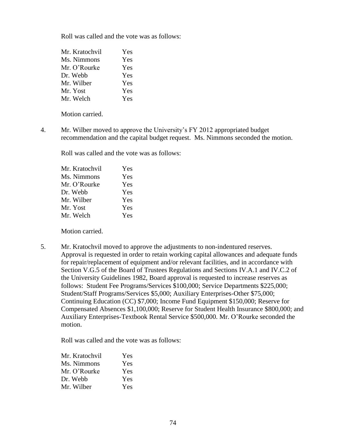Roll was called and the vote was as follows:

| Mr. Kratochvil | Yes |
|----------------|-----|
| Ms. Nimmons    | Yes |
| Mr. O'Rourke   | Yes |
| Dr. Webb       | Yes |
| Mr. Wilber     | Yes |
| Mr. Yost       | Yes |
| Mr. Welch      | Yes |

Motion carried.

4. Mr. Wilber moved to approve the University's FY 2012 appropriated budget recommendation and the capital budget request. Ms. Nimmons seconded the motion.

Roll was called and the vote was as follows:

| Mr. Kratochvil | Yes |
|----------------|-----|
| Ms. Nimmons    | Yes |
| Mr. O'Rourke   | Yes |
| Dr. Webb       | Yes |
| Mr. Wilber     | Yes |
| Mr. Yost       | Yes |
| Mr. Welch      | Yes |
|                |     |

Motion carried.

5. Mr. Kratochvil moved to approve the adjustments to non-indentured reserves. Approval is requested in order to retain working capital allowances and adequate funds for repair/replacement of equipment and/or relevant facilities, and in accordance with Section V.G.5 of the Board of Trustees Regulations and Sections IV.A.1 and IV.C.2 of the University Guidelines 1982, Board approval is requested to increase reserves as follows: Student Fee Programs/Services \$100,000; Service Departments \$225,000; Student/Staff Programs/Services \$5,000; Auxiliary Enterprises-Other \$75,000; Continuing Education (CC) \$7,000; Income Fund Equipment \$150,000; Reserve for Compensated Absences \$1,100,000; Reserve for Student Health Insurance \$800,000; and Auxiliary Enterprises-Textbook Rental Service \$500,000. Mr. O'Rourke seconded the motion.

Roll was called and the vote was as follows:

| Mr. Kratochvil | <b>Yes</b> |
|----------------|------------|
| Ms. Nimmons    | <b>Yes</b> |
| Mr. O'Rourke   | <b>Yes</b> |
| Dr. Webb       | <b>Yes</b> |
| Mr. Wilber     | <b>Yes</b> |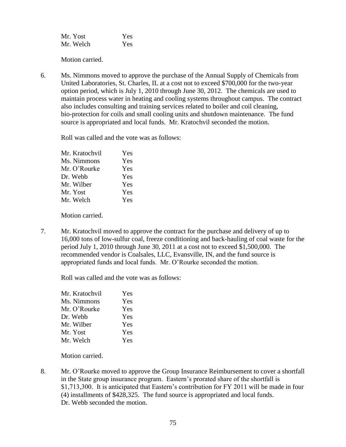| Mr. Yost  | Yes |
|-----------|-----|
| Mr. Welch | Yes |

Motion carried.

6. Ms. Nimmons moved to approve the purchase of the Annual Supply of Chemicals from United Laboratories, St. Charles, IL at a cost not to exceed \$700,000 for the two-year option period, which is July 1, 2010 through June 30, 2012. The chemicals are used to maintain process water in heating and cooling systems throughout campus. The contract also includes consulting and training services related to boiler and coil cleaning, bio-protection for coils and small cooling units and shutdown maintenance. The fund source is appropriated and local funds. Mr. Kratochvil seconded the motion.

Roll was called and the vote was as follows:

| Mr. Kratochvil | Yes |
|----------------|-----|
| Ms. Nimmons    | Yes |
| Mr. O'Rourke   | Yes |
| Dr. Webb       | Yes |
| Mr. Wilber     | Yes |
| Mr. Yost       | Yes |
| Mr. Welch      | Yes |
|                |     |

Motion carried.

7. Mr. Kratochvil moved to approve the contract for the purchase and delivery of up to 16,000 tons of low-sulfur coal, freeze conditioning and back-hauling of coal waste for the period July 1, 2010 through June 30, 2011 at a cost not to exceed \$1,500,000. The recommended vendor is Coalsales, LLC, Evansville, IN, and the fund source is appropriated funds and local funds. Mr. O'Rourke seconded the motion.

Roll was called and the vote was as follows:

| Mr. Kratochvil | Yes |
|----------------|-----|
| Ms. Nimmons    | Yes |
| Mr. O'Rourke   | Yes |
| Dr. Webb       | Yes |
| Mr. Wilber     | Yes |
| Mr. Yost       | Yes |
| Mr. Welch      | Yes |

Motion carried.

8. Mr. O'Rourke moved to approve the Group Insurance Reimbursement to cover a shortfall in the State group insurance program. Eastern's prorated share of the shortfall is \$1,713,300. It is anticipated that Eastern's contribution for FY 2011 will be made in four (4) installments of \$428,325. The fund source is appropriated and local funds. Dr. Webb seconded the motion.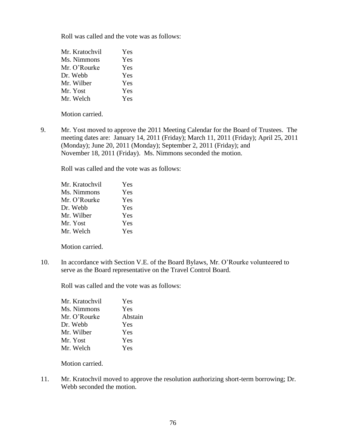Roll was called and the vote was as follows:

| Mr. Kratochvil | Yes |
|----------------|-----|
| Ms. Nimmons    | Yes |
| Mr. O'Rourke   | Yes |
| Dr. Webb       | Yes |
| Mr. Wilber     | Yes |
| Mr. Yost       | Yes |
| Mr. Welch      | Yes |

Motion carried.

9. Mr. Yost moved to approve the 2011 Meeting Calendar for the Board of Trustees. The meeting dates are: January 14, 2011 (Friday); March 11, 2011 (Friday); April 25, 2011 (Monday); June 20, 2011 (Monday); September 2, 2011 (Friday); and November 18, 2011 (Friday). Ms. Nimmons seconded the motion.

Roll was called and the vote was as follows:

| Yes |
|-----|
| Yes |
| Yes |
| Yes |
| Yes |
| Yes |
| Yes |
|     |

Motion carried.

10. In accordance with Section V.E. of the Board Bylaws, Mr. O'Rourke volunteered to serve as the Board representative on the Travel Control Board.

Roll was called and the vote was as follows:

| Mr. Kratochvil | Yes     |
|----------------|---------|
| Ms. Nimmons    | Yes     |
| Mr. O'Rourke   | Abstain |
| Dr. Webb       | Yes     |
| Mr. Wilber     | Yes     |
| Mr. Yost       | Yes     |
| Mr. Welch      | Yes     |

Motion carried.

11. Mr. Kratochvil moved to approve the resolution authorizing short-term borrowing; Dr. Webb seconded the motion.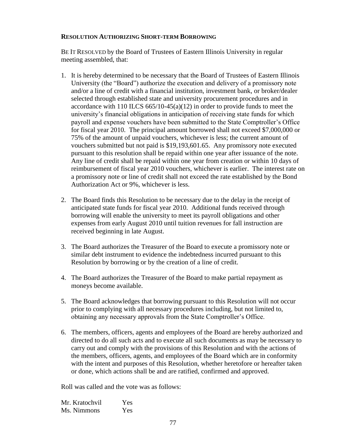#### **RESOLUTION AUTHORIZING SHORT-TERM BORROWING**

BE IT RESOLVED by the Board of Trustees of Eastern Illinois University in regular meeting assembled, that:

- 1. It is hereby determined to be necessary that the Board of Trustees of Eastern Illinois University (the "Board") authorize the execution and delivery of a promissory note and/or a line of credit with a financial institution, investment bank, or broker/dealer selected through established state and university procurement procedures and in accordance with 110 ILCS  $665/10-45(a)(12)$  in order to provide funds to meet the university's financial obligations in anticipation of receiving state funds for which payroll and expense vouchers have been submitted to the State Comptroller's Office for fiscal year 2010. The principal amount borrowed shall not exceed \$7,000,000 or 75% of the amount of unpaid vouchers, whichever is less; the current amount of vouchers submitted but not paid is \$19,193,601.65. Any promissory note executed pursuant to this resolution shall be repaid within one year after issuance of the note. Any line of credit shall be repaid within one year from creation or within 10 days of reimbursement of fiscal year 2010 vouchers, whichever is earlier. The interest rate on a promissory note or line of credit shall not exceed the rate established by the Bond Authorization Act or 9%, whichever is less.
- 2. The Board finds this Resolution to be necessary due to the delay in the receipt of anticipated state funds for fiscal year 2010. Additional funds received through borrowing will enable the university to meet its payroll obligations and other expenses from early August 2010 until tuition revenues for fall instruction are received beginning in late August.
- 3. The Board authorizes the Treasurer of the Board to execute a promissory note or similar debt instrument to evidence the indebtedness incurred pursuant to this Resolution by borrowing or by the creation of a line of credit.
- 4. The Board authorizes the Treasurer of the Board to make partial repayment as moneys become available.
- 5. The Board acknowledges that borrowing pursuant to this Resolution will not occur prior to complying with all necessary procedures including, but not limited to, obtaining any necessary approvals from the State Comptroller's Office.
- 6. The members, officers, agents and employees of the Board are hereby authorized and directed to do all such acts and to execute all such documents as may be necessary to carry out and comply with the provisions of this Resolution and with the actions of the members, officers, agents, and employees of the Board which are in conformity with the intent and purposes of this Resolution, whether heretofore or hereafter taken or done, which actions shall be and are ratified, confirmed and approved.

Roll was called and the vote was as follows:

| Mr. Kratochvil | Yes |
|----------------|-----|
| Ms. Nimmons    | Yes |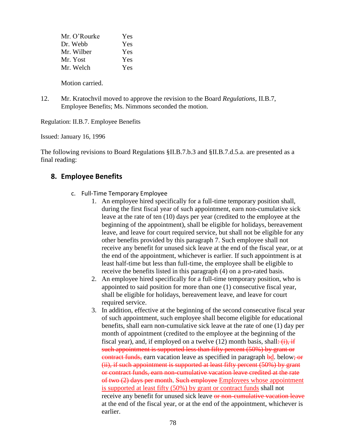| Mr. O'Rourke | Yes |
|--------------|-----|
| Dr. Webb     | Yes |
| Mr. Wilber   | Yes |
| Mr. Yost     | Yes |
| Mr. Welch    | Yes |
|              |     |

Motion carried.

12. Mr. Kratochvil moved to approve the revision to the Board *Regulations,* II.B.7, Employee Benefits; Ms. Nimmons seconded the motion.

Regulation: II.B.7. Employee Benefits

Issued: January 16, 1996

The following revisions to Board Regulations §II.B.7.b.3 and §II.B.7.d.5.a. are presented as a final reading:

# **8. Employee Benefits**

- c. Full-Time Temporary Employee
	- 1. An employee hired specifically for a full-time temporary position shall, during the first fiscal year of such appointment, earn non-cumulative sick leave at the rate of ten (10) days per year (credited to the employee at the beginning of the appointment), shall be eligible for holidays, bereavement leave, and leave for court required service, but shall not be eligible for any other benefits provided by this paragraph 7. Such employee shall not receive any benefit for unused sick leave at the end of the fiscal year, or at the end of the appointment, whichever is earlier. If such appointment is at least half-time but less than full-time, the employee shall be eligible to receive the benefits listed in this paragraph (4) on a pro-rated basis.
	- 2. An employee hired specifically for a full-time temporary position, who is appointed to said position for more than one (1) consecutive fiscal year, shall be eligible for holidays, bereavement leave, and leave for court required service.
	- 3. In addition, effective at the beginning of the second consecutive fiscal year of such appointment, such employee shall become eligible for educational benefits, shall earn non-cumulative sick leave at the rate of one (1) day per month of appointment (credited to the employee at the beginning of the fiscal year), and, if employed on a twelve  $(12)$  month basis, shall:  $(i)$ , if such appointment is supported less than fifty percent (50%) by grant or contract funds, earn vacation leave as specified in paragraph bd. below; or (ii), if such appointment is supported at least fifty percent (50%) by grant or contract funds, earn non-cumulative vacation leave credited at the rate of two (2) days per month. Such employee Employees whose appointment is supported at least fifty (50%) by grant or contract funds shall not receive any benefit for unused sick leave or non-cumulative vacation leave at the end of the fiscal year, or at the end of the appointment, whichever is earlier.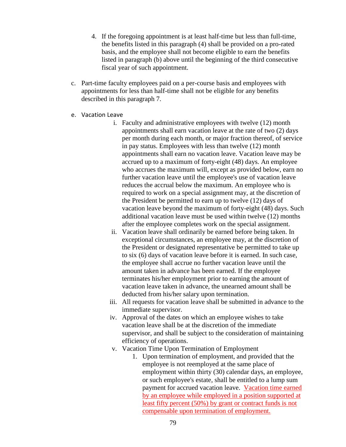- 4. If the foregoing appointment is at least half-time but less than full-time, the benefits listed in this paragraph (4) shall be provided on a pro-rated basis, and the employee shall not become eligible to earn the benefits listed in paragraph (b) above until the beginning of the third consecutive fiscal year of such appointment.
- c. Part-time faculty employees paid on a per-course basis and employees with appointments for less than half-time shall not be eligible for any benefits described in this paragraph 7.
- e. Vacation Leave
	- i. Faculty and administrative employees with twelve (12) month appointments shall earn vacation leave at the rate of two (2) days per month during each month, or major fraction thereof, of service in pay status. Employees with less than twelve (12) month appointments shall earn no vacation leave. Vacation leave may be accrued up to a maximum of forty-eight (48) days. An employee who accrues the maximum will, except as provided below, earn no further vacation leave until the employee's use of vacation leave reduces the accrual below the maximum. An employee who is required to work on a special assignment may, at the discretion of the President be permitted to earn up to twelve (12) days of vacation leave beyond the maximum of forty-eight (48) days. Such additional vacation leave must be used within twelve (12) months after the employee completes work on the special assignment.
	- ii. Vacation leave shall ordinarily be earned before being taken. In exceptional circumstances, an employee may, at the discretion of the President or designated representative be permitted to take up to six (6) days of vacation leave before it is earned. In such case, the employee shall accrue no further vacation leave until the amount taken in advance has been earned. If the employee terminates his/her employment prior to earning the amount of vacation leave taken in advance, the unearned amount shall be deducted from his/her salary upon termination.
	- iii. All requests for vacation leave shall be submitted in advance to the immediate supervisor.
	- iv. Approval of the dates on which an employee wishes to take vacation leave shall be at the discretion of the immediate supervisor, and shall be subject to the consideration of maintaining efficiency of operations.
	- v. Vacation Time Upon Termination of Employment
		- 1. Upon termination of employment, and provided that the employee is not reemployed at the same place of employment within thirty (30) calendar days, an employee, or such employee's estate, shall be entitled to a lump sum payment for accrued vacation leave. Vacation time earned by an employee while employed in a position supported at least fifty percent (50%) by grant or contract funds is not compensable upon termination of employment.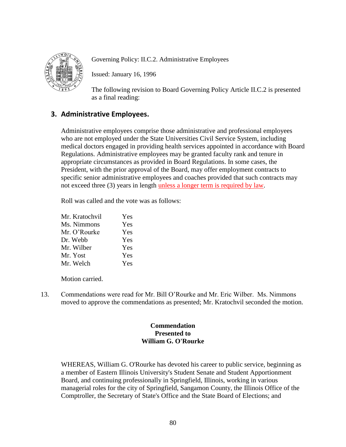

Governing Policy: II.C.2. Administrative Employees

Issued: January 16, 1996

The following revision to Board Governing Policy Article II.C.2 is presented as a final reading:

# **3. Administrative Employees.**

Administrative employees comprise those administrative and professional employees who are not employed under the State Universities Civil Service System, including medical doctors engaged in providing health services appointed in accordance with Board Regulations. Administrative employees may be granted faculty rank and tenure in appropriate circumstances as provided in Board Regulations. In some cases, the President, with the prior approval of the Board, may offer employment contracts to specific senior administrative employees and coaches provided that such contracts may not exceed three (3) years in length unless a longer term is required by law.

Roll was called and the vote was as follows:

| Mr. Kratochvil | Yes |
|----------------|-----|
| Ms. Nimmons    | Yes |
| Mr. O'Rourke   | Yes |
| Dr. Webb       | Yes |
| Mr. Wilber     | Yes |
| Mr. Yost       | Yes |
| Mr. Welch      | Yes |

Motion carried.

13. Commendations were read for Mr. Bill O'Rourke and Mr. Eric Wilber. Ms. Nimmons moved to approve the commendations as presented; Mr. Kratochvil seconded the motion.

# **Commendation Presented to William G. O'Rourke**

WHEREAS, William G. O'Rourke has devoted his career to public service, beginning as a member of Eastern Illinois University's Student Senate and Student Apportionment Board, and continuing professionally in Springfield, Illinois, working in various managerial roles for the city of Springfield, Sangamon County, the Illinois Office of the Comptroller, the Secretary of State's Office and the State Board of Elections; and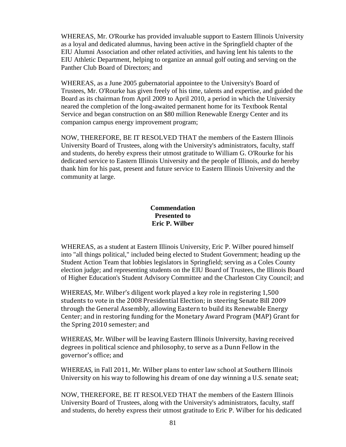WHEREAS, Mr. O'Rourke has provided invaluable support to Eastern Illinois University as a loyal and dedicated alumnus, having been active in the Springfield chapter of the EIU Alumni Association and other related activities, and having lent his talents to the EIU Athletic Department, helping to organize an annual golf outing and serving on the Panther Club Board of Directors; and

WHEREAS, as a June 2005 gubernatorial appointee to the University's Board of Trustees, Mr. O'Rourke has given freely of his time, talents and expertise, and guided the Board as its chairman from April 2009 to April 2010, a period in which the University neared the completion of the long-awaited permanent home for its Textbook Rental Service and began construction on an \$80 million Renewable Energy Center and its companion campus energy improvement program;

NOW, THEREFORE, BE IT RESOLVED THAT the members of the Eastern Illinois University Board of Trustees, along with the University's administrators, faculty, staff and students, do hereby express their utmost gratitude to William G. O'Rourke for his dedicated service to Eastern Illinois University and the people of Illinois, and do hereby thank him for his past, present and future service to Eastern Illinois University and the community at large.

# **Commendation Presented to Eric P. Wilber**

WHEREAS, as a student at Eastern Illinois University, Eric P. Wilber poured himself into "all things political," included being elected to Student Government; heading up the Student Action Team that lobbies legislators in Springfield; serving as a Coles County election judge; and representing students on the EIU Board of Trustees, the Illinois Board of Higher Education's Student Advisory Committee and the Charleston City Council; and

WHEREAS, Mr. Wilber's diligent work played a key role in registering 1,500 students to vote in the 2008 Presidential Election; in steering Senate Bill 2009 through the General Assembly, allowing Eastern to build its Renewable Energy Center; and in restoring funding for the Monetary Award Program (MAP) Grant for the Spring 2010 semester; and

WHEREAS, Mr. Wilber will be leaving Eastern Illinois University, having received degrees in political science and philosophy, to serve as a Dunn Fellow in the governor's office; and

WHEREAS, in Fall 2011, Mr. Wilber plans to enter law school at Southern Illinois University on his way to following his dream of one day winning a U.S. senate seat;

NOW, THEREFORE, BE IT RESOLVED THAT the members of the Eastern Illinois University Board of Trustees, along with the University's administrators, faculty, staff and students, do hereby express their utmost gratitude to Eric P. Wilber for his dedicated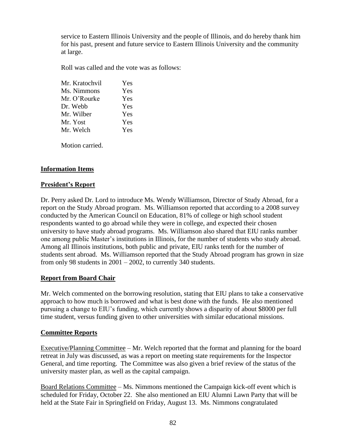service to Eastern Illinois University and the people of Illinois, and do hereby thank him for his past, present and future service to Eastern Illinois University and the community at large.

Roll was called and the vote was as follows:

| Mr. Kratochvil | Yes |
|----------------|-----|
| Ms. Nimmons    | Yes |
| Mr. O'Rourke   | Yes |
| Dr. Webb       | Yes |
| Mr. Wilber     | Yes |
| Mr. Yost       | Yes |
| Mr. Welch      | Yes |
|                |     |

Motion carried.

# **Information Items**

### **President's Report**

Dr. Perry asked Dr. Lord to introduce Ms. Wendy Williamson, Director of Study Abroad, for a report on the Study Abroad program. Ms. Williamson reported that according to a 2008 survey conducted by the American Council on Education, 81% of college or high school student respondents wanted to go abroad while they were in college, and expected their chosen university to have study abroad programs. Ms. Williamson also shared that EIU ranks number one among public Master's institutions in Illinois, for the number of students who study abroad. Among all Illinois institutions, both public and private, EIU ranks tenth for the number of students sent abroad. Ms. Williamson reported that the Study Abroad program has grown in size from only 98 students in 2001 – 2002, to currently 340 students.

# **Report from Board Chair**

Mr. Welch commented on the borrowing resolution, stating that EIU plans to take a conservative approach to how much is borrowed and what is best done with the funds. He also mentioned pursuing a change to EIU's funding, which currently shows a disparity of about \$8000 per full time student, versus funding given to other universities with similar educational missions.

# **Committee Reports**

Executive/Planning Committee – Mr. Welch reported that the format and planning for the board retreat in July was discussed, as was a report on meeting state requirements for the Inspector General, and time reporting. The Committee was also given a brief review of the status of the university master plan, as well as the capital campaign.

Board Relations Committee – Ms. Nimmons mentioned the Campaign kick-off event which is scheduled for Friday, October 22. She also mentioned an EIU Alumni Lawn Party that will be held at the State Fair in Springfield on Friday, August 13. Ms. Nimmons congratulated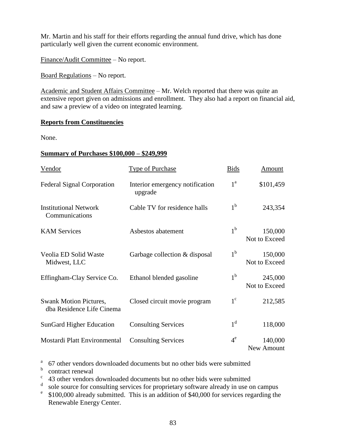Mr. Martin and his staff for their efforts regarding the annual fund drive, which has done particularly well given the current economic environment.

Finance/Audit Committee – No report.

Board Regulations – No report.

Academic and Student Affairs Committee – Mr. Welch reported that there was quite an extensive report given on admissions and enrollment. They also had a report on financial aid, and saw a preview of a video on integrated learning.

#### **Reports from Constituencies**

None.

#### **Summary of Purchases \$100,000 – \$249,999**

| Vendor                                                     | <b>Type of Purchase</b>                    | <b>Bids</b>      | Amount                   |
|------------------------------------------------------------|--------------------------------------------|------------------|--------------------------|
| <b>Federal Signal Corporation</b>                          | Interior emergency notification<br>upgrade | $1^{\mathrm{a}}$ | \$101,459                |
| <b>Institutional Network</b><br>Communications             | Cable TV for residence halls               | 1 <sup>b</sup>   | 243,354                  |
| <b>KAM Services</b>                                        | Asbestos abatement                         | 1 <sup>b</sup>   | 150,000<br>Not to Exceed |
| Veolia ED Solid Waste<br>Midwest, LLC                      | Garbage collection & disposal              | 1 <sup>b</sup>   | 150,000<br>Not to Exceed |
| Effingham-Clay Service Co.                                 | Ethanol blended gasoline                   | 1 <sup>b</sup>   | 245,000<br>Not to Exceed |
| <b>Swank Motion Pictures,</b><br>dba Residence Life Cinema | Closed circuit movie program               | $1^{\circ}$      | 212,585                  |
| <b>SunGard Higher Education</b>                            | <b>Consulting Services</b>                 | 1 <sup>d</sup>   | 118,000                  |
| Mostardi Platt Environmental                               | <b>Consulting Services</b>                 | $4^e$            | 140,000<br>New Amount    |

<sup>a</sup> 67 other vendors downloaded documents but no other bids were submitted

**b** contract renewal

<sup>c</sup> 43 other vendors downloaded documents but no other bids were submitted

<sup>d</sup> sole source for consulting services for proprietary software already in use on campus

e \$100,000 already submitted. This is an addition of \$40,000 for services regarding the Renewable Energy Center.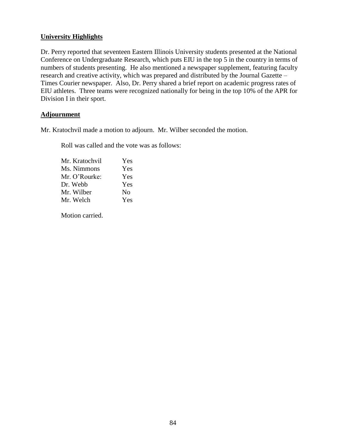### **University Highlights**

Dr. Perry reported that seventeen Eastern Illinois University students presented at the National Conference on Undergraduate Research, which puts EIU in the top 5 in the country in terms of numbers of students presenting. He also mentioned a newspaper supplement, featuring faculty research and creative activity, which was prepared and distributed by the Journal Gazette – Times Courier newspaper. Also, Dr. Perry shared a brief report on academic progress rates of EIU athletes. Three teams were recognized nationally for being in the top 10% of the APR for Division I in their sport.

### **Adjournment**

Mr. Kratochvil made a motion to adjourn. Mr. Wilber seconded the motion.

Roll was called and the vote was as follows:

| Mr. Kratochvil | Yes |
|----------------|-----|
| Ms. Nimmons    | Yes |
| Mr. O'Rourke:  | Yes |
| Dr. Webb       | Yes |
| Mr. Wilber     | No  |
| Mr. Welch      | Yes |

Motion carried.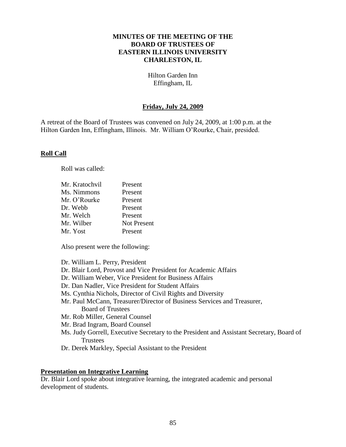### **MINUTES OF THE MEETING OF THE BOARD OF TRUSTEES OF EASTERN ILLINOIS UNIVERSITY CHARLESTON, IL**

Hilton Garden Inn Effingham, IL

### **Friday, July 24, 2009**

A retreat of the Board of Trustees was convened on July 24, 2009, at 1:00 p.m. at the Hilton Garden Inn, Effingham, Illinois. Mr. William O'Rourke, Chair, presided.

#### **Roll Call**

Roll was called:

| Mr. Kratochvil | Present            |
|----------------|--------------------|
| Ms. Nimmons    | Present            |
| Mr. O'Rourke   | Present            |
| Dr. Webb       | Present            |
| Mr. Welch      | Present            |
| Mr. Wilber     | <b>Not Present</b> |
| Mr. Yost       | Present            |

Also present were the following:

Dr. William L. Perry, President

Dr. Blair Lord, Provost and Vice President for Academic Affairs

Dr. William Weber, Vice President for Business Affairs

Dr. Dan Nadler, Vice President for Student Affairs

Ms. Cynthia Nichols, Director of Civil Rights and Diversity

Mr. Paul McCann, Treasurer/Director of Business Services and Treasurer, Board of Trustees

Mr. Rob Miller, General Counsel

Mr. Brad Ingram, Board Counsel

- Ms. Judy Gorrell, Executive Secretary to the President and Assistant Secretary, Board of **Trustees**
- Dr. Derek Markley, Special Assistant to the President

#### **Presentation on Integrative Learning**

Dr. Blair Lord spoke about integrative learning, the integrated academic and personal development of students.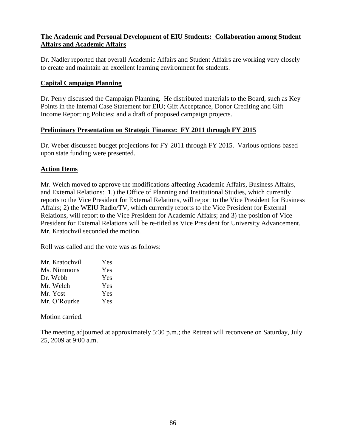# **The Academic and Personal Development of EIU Students: Collaboration among Student Affairs and Academic Affairs**

Dr. Nadler reported that overall Academic Affairs and Student Affairs are working very closely to create and maintain an excellent learning environment for students.

# **Capital Campaign Planning**

Dr. Perry discussed the Campaign Planning. He distributed materials to the Board, such as Key Points in the Internal Case Statement for EIU; Gift Acceptance, Donor Crediting and Gift Income Reporting Policies; and a draft of proposed campaign projects.

# **Preliminary Presentation on Strategic Finance: FY 2011 through FY 2015**

Dr. Weber discussed budget projections for FY 2011 through FY 2015. Various options based upon state funding were presented.

# **Action Items**

Mr. Welch moved to approve the modifications affecting Academic Affairs, Business Affairs, and External Relations: 1.) the Office of Planning and Institutional Studies, which currently reports to the Vice President for External Relations, will report to the Vice President for Business Affairs; 2) the WEIU Radio/TV, which currently reports to the Vice President for External Relations, will report to the Vice President for Academic Affairs; and 3) the position of Vice President for External Relations will be re-titled as Vice President for University Advancement. Mr. Kratochvil seconded the motion.

Roll was called and the vote was as follows:

| Mr. Kratochvil | Yes        |
|----------------|------------|
| Ms. Nimmons    | Yes        |
| Dr. Webb       | Yes        |
| Mr. Welch      | Yes        |
| Mr. Yost       | Yes        |
| Mr. O'Rourke   | <b>Yes</b> |

Motion carried.

The meeting adjourned at approximately 5:30 p.m.; the Retreat will reconvene on Saturday, July 25, 2009 at 9:00 a.m.